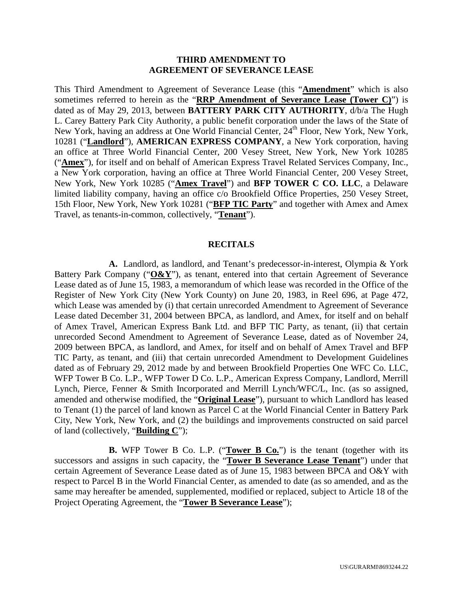#### **THIRD AMENDMENT TO AGREEMENT OF SEVERANCE LEASE**

This Third Amendment to Agreement of Severance Lease (this "**Amendment**" which is also sometimes referred to herein as the "**RRP Amendment of Severance Lease (Tower C)**") is dated as of May 29, 2013, between **BATTERY PARK CITY AUTHORITY**, d/b/a The Hugh L. Carey Battery Park City Authority, a public benefit corporation under the laws of the State of New York, having an address at One World Financial Center, 24<sup>th</sup> Floor, New York, New York, 10281 ("**Landlord**"), **AMERICAN EXPRESS COMPANY**, a New York corporation, having an office at Three World Financial Center, 200 Vesey Street, New York, New York 10285 ("**Amex**"), for itself and on behalf of American Express Travel Related Services Company, Inc., a New York corporation, having an office at Three World Financial Center, 200 Vesey Street, New York, New York 10285 ("**Amex Travel**") and **BFP TOWER C CO. LLC**, a Delaware limited liability company, having an office c/o Brookfield Office Properties, 250 Vesey Street, 15th Floor, New York, New York 10281 ("**BFP TIC Party**" and together with Amex and Amex Travel, as tenants-in-common, collectively, "**Tenant**").

#### **RECITALS**

**A.** Landlord, as landlord, and Tenant's predecessor-in-interest, Olympia & York Battery Park Company ("O&Y"), as tenant, entered into that certain Agreement of Severance Lease dated as of June 15, 1983, a memorandum of which lease was recorded in the Office of the Register of New York City (New York County) on June 20, 1983, in Reel 696, at Page 472, which Lease was amended by (i) that certain unrecorded Amendment to Agreement of Severance Lease dated December 31, 2004 between BPCA, as landlord, and Amex, for itself and on behalf of Amex Travel, American Express Bank Ltd. and BFP TIC Party, as tenant, (ii) that certain unrecorded Second Amendment to Agreement of Severance Lease, dated as of November 24, 2009 between BPCA, as landlord, and Amex, for itself and on behalf of Amex Travel and BFP TIC Party, as tenant, and (iii) that certain unrecorded Amendment to Development Guidelines dated as of February 29, 2012 made by and between Brookfield Properties One WFC Co. LLC, WFP Tower B Co. L.P., WFP Tower D Co. L.P., American Express Company, Landlord, Merrill Lynch, Pierce, Fenner & Smith Incorporated and Merrill Lynch/WFC/L, Inc. (as so assigned, amended and otherwise modified, the "**Original Lease**"), pursuant to which Landlord has leased to Tenant (1) the parcel of land known as Parcel C at the World Financial Center in Battery Park City, New York, New York, and (2) the buildings and improvements constructed on said parcel of land (collectively, "**Building C**");

**B.** WFP Tower B Co. L.P. ("**Tower B Co.**") is the tenant (together with its successors and assigns in such capacity, the "**Tower B Severance Lease Tenant**") under that certain Agreement of Severance Lease dated as of June 15, 1983 between BPCA and O&Y with respect to Parcel B in the World Financial Center, as amended to date (as so amended, and as the same may hereafter be amended, supplemented, modified or replaced, subject to Article 18 of the Project Operating Agreement, the "**Tower B Severance Lease**");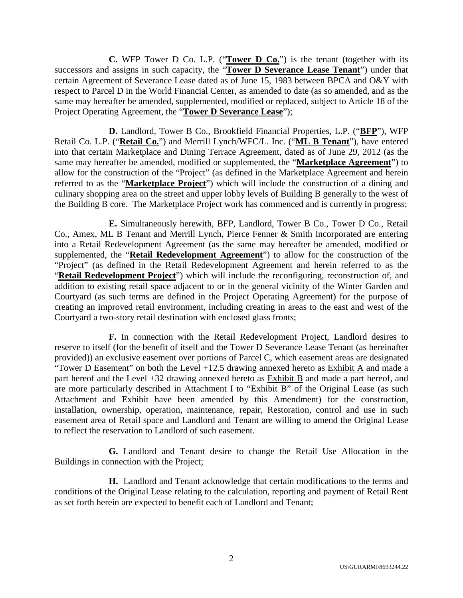**C.** WFP Tower D Co. L.P. ("**Tower D Co.**") is the tenant (together with its successors and assigns in such capacity, the "**Tower D Severance Lease Tenant**") under that certain Agreement of Severance Lease dated as of June 15, 1983 between BPCA and O&Y with respect to Parcel D in the World Financial Center, as amended to date (as so amended, and as the same may hereafter be amended, supplemented, modified or replaced, subject to Article 18 of the Project Operating Agreement, the "**Tower D Severance Lease**");

**D.** Landlord, Tower B Co., Brookfield Financial Properties, L.P. ("**BFP**"), WFP Retail Co. L.P. ("**Retail Co.**") and Merrill Lynch/WFC/L. Inc. ("**ML B Tenant**"), have entered into that certain Marketplace and Dining Terrace Agreement, dated as of June 29, 2012 (as the same may hereafter be amended, modified or supplemented, the "**Marketplace Agreement**") to allow for the construction of the "Project" (as defined in the Marketplace Agreement and herein referred to as the "**Marketplace Project**") which will include the construction of a dining and culinary shopping area on the street and upper lobby levels of Building B generally to the west of the Building B core. The Marketplace Project work has commenced and is currently in progress;

**E.** Simultaneously herewith, BFP, Landlord, Tower B Co., Tower D Co., Retail Co., Amex, ML B Tenant and Merrill Lynch, Pierce Fenner & Smith Incorporated are entering into a Retail Redevelopment Agreement (as the same may hereafter be amended, modified or supplemented, the "**Retail Redevelopment Agreement**") to allow for the construction of the "Project" (as defined in the Retail Redevelopment Agreement and herein referred to as the "**Retail Redevelopment Project**") which will include the reconfiguring, reconstruction of, and addition to existing retail space adjacent to or in the general vicinity of the Winter Garden and Courtyard (as such terms are defined in the Project Operating Agreement) for the purpose of creating an improved retail environment, including creating in areas to the east and west of the Courtyard a two-story retail destination with enclosed glass fronts;

**F.** In connection with the Retail Redevelopment Project, Landlord desires to reserve to itself (for the benefit of itself and the Tower D Severance Lease Tenant (as hereinafter provided)) an exclusive easement over portions of Parcel C, which easement areas are designated "Tower D Easement" on both the Level +12.5 drawing annexed hereto as Exhibit A and made a part hereof and the Level +32 drawing annexed hereto as Exhibit B and made a part hereof, and are more particularly described in Attachment I to "Exhibit B" of the Original Lease (as such Attachment and Exhibit have been amended by this Amendment) for the construction, installation, ownership, operation, maintenance, repair, Restoration, control and use in such easement area of Retail space and Landlord and Tenant are willing to amend the Original Lease to reflect the reservation to Landlord of such easement.

**G.** Landlord and Tenant desire to change the Retail Use Allocation in the Buildings in connection with the Project;

**H.** Landlord and Tenant acknowledge that certain modifications to the terms and conditions of the Original Lease relating to the calculation, reporting and payment of Retail Rent as set forth herein are expected to benefit each of Landlord and Tenant;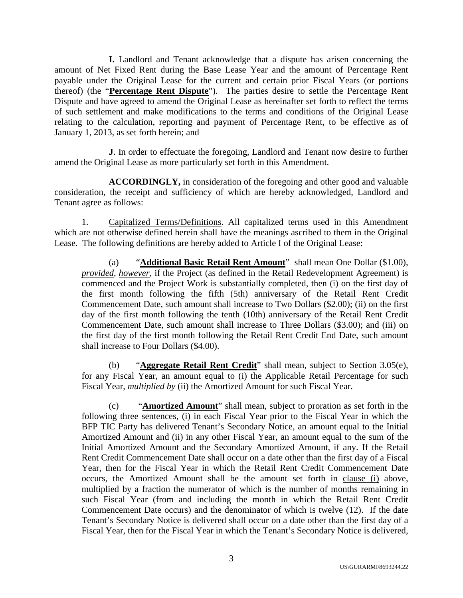**I.** Landlord and Tenant acknowledge that a dispute has arisen concerning the amount of Net Fixed Rent during the Base Lease Year and the amount of Percentage Rent payable under the Original Lease for the current and certain prior Fiscal Years (or portions thereof) (the "**Percentage Rent Dispute**"). The parties desire to settle the Percentage Rent Dispute and have agreed to amend the Original Lease as hereinafter set forth to reflect the terms of such settlement and make modifications to the terms and conditions of the Original Lease relating to the calculation, reporting and payment of Percentage Rent, to be effective as of January 1, 2013, as set forth herein; and

**J**. In order to effectuate the foregoing, Landlord and Tenant now desire to further amend the Original Lease as more particularly set forth in this Amendment.

**ACCORDINGLY,** in consideration of the foregoing and other good and valuable consideration, the receipt and sufficiency of which are hereby acknowledged, Landlord and Tenant agree as follows:

1. Capitalized Terms/Definitions. All capitalized terms used in this Amendment which are not otherwise defined herein shall have the meanings ascribed to them in the Original Lease. The following definitions are hereby added to Article I of the Original Lease:

(a) "**Additional Basic Retail Rent Amount**" shall mean One Dollar (\$1.00), *provided*, *however*, if the Project (as defined in the Retail Redevelopment Agreement) is commenced and the Project Work is substantially completed, then (i) on the first day of the first month following the fifth (5th) anniversary of the Retail Rent Credit Commencement Date, such amount shall increase to Two Dollars (\$2.00); (ii) on the first day of the first month following the tenth (10th) anniversary of the Retail Rent Credit Commencement Date, such amount shall increase to Three Dollars (\$3.00); and (iii) on the first day of the first month following the Retail Rent Credit End Date, such amount shall increase to Four Dollars (\$4.00).

(b) "**Aggregate Retail Rent Credit**" shall mean, subject to Section 3.05(e), for any Fiscal Year, an amount equal to (i) the Applicable Retail Percentage for such Fiscal Year, *multiplied by* (ii) the Amortized Amount for such Fiscal Year.

(c) "**Amortized Amount**" shall mean, subject to proration as set forth in the following three sentences, (i) in each Fiscal Year prior to the Fiscal Year in which the BFP TIC Party has delivered Tenant's Secondary Notice, an amount equal to the Initial Amortized Amount and (ii) in any other Fiscal Year, an amount equal to the sum of the Initial Amortized Amount and the Secondary Amortized Amount, if any. If the Retail Rent Credit Commencement Date shall occur on a date other than the first day of a Fiscal Year, then for the Fiscal Year in which the Retail Rent Credit Commencement Date occurs, the Amortized Amount shall be the amount set forth in clause (i) above, multiplied by a fraction the numerator of which is the number of months remaining in such Fiscal Year (from and including the month in which the Retail Rent Credit Commencement Date occurs) and the denominator of which is twelve (12). If the date Tenant's Secondary Notice is delivered shall occur on a date other than the first day of a Fiscal Year, then for the Fiscal Year in which the Tenant's Secondary Notice is delivered,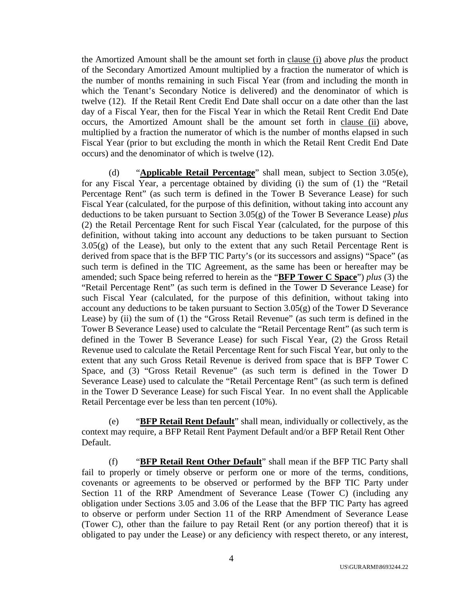the Amortized Amount shall be the amount set forth in clause (i) above *plus* the product of the Secondary Amortized Amount multiplied by a fraction the numerator of which is the number of months remaining in such Fiscal Year (from and including the month in which the Tenant's Secondary Notice is delivered) and the denominator of which is twelve (12). If the Retail Rent Credit End Date shall occur on a date other than the last day of a Fiscal Year, then for the Fiscal Year in which the Retail Rent Credit End Date occurs, the Amortized Amount shall be the amount set forth in clause (ii) above, multiplied by a fraction the numerator of which is the number of months elapsed in such Fiscal Year (prior to but excluding the month in which the Retail Rent Credit End Date occurs) and the denominator of which is twelve (12).

(d) "**Applicable Retail Percentage**" shall mean, subject to Section 3.05(e), for any Fiscal Year, a percentage obtained by dividing (i) the sum of (1) the "Retail Percentage Rent" (as such term is defined in the Tower B Severance Lease) for such Fiscal Year (calculated, for the purpose of this definition, without taking into account any deductions to be taken pursuant to Section 3.05(g) of the Tower B Severance Lease) *plus* (2) the Retail Percentage Rent for such Fiscal Year (calculated, for the purpose of this definition, without taking into account any deductions to be taken pursuant to Section  $3.05(g)$  of the Lease), but only to the extent that any such Retail Percentage Rent is derived from space that is the BFP TIC Party's (or its successors and assigns) "Space" (as such term is defined in the TIC Agreement, as the same has been or hereafter may be amended; such Space being referred to herein as the "**BFP Tower C Space**") *plus* (3) the "Retail Percentage Rent" (as such term is defined in the Tower D Severance Lease) for such Fiscal Year (calculated, for the purpose of this definition, without taking into account any deductions to be taken pursuant to Section  $3.05(g)$  of the Tower D Severance Lease) by (ii) the sum of (1) the "Gross Retail Revenue" (as such term is defined in the Tower B Severance Lease) used to calculate the "Retail Percentage Rent" (as such term is defined in the Tower B Severance Lease) for such Fiscal Year, (2) the Gross Retail Revenue used to calculate the Retail Percentage Rent for such Fiscal Year, but only to the extent that any such Gross Retail Revenue is derived from space that is BFP Tower C Space, and (3) "Gross Retail Revenue" (as such term is defined in the Tower D Severance Lease) used to calculate the "Retail Percentage Rent" (as such term is defined in the Tower D Severance Lease) for such Fiscal Year. In no event shall the Applicable Retail Percentage ever be less than ten percent (10%).

(e) "**BFP Retail Rent Default**" shall mean, individually or collectively, as the context may require, a BFP Retail Rent Payment Default and/or a BFP Retail Rent Other Default.

(f) "**BFP Retail Rent Other Default**" shall mean if the BFP TIC Party shall fail to properly or timely observe or perform one or more of the terms, conditions, covenants or agreements to be observed or performed by the BFP TIC Party under Section 11 of the RRP Amendment of Severance Lease (Tower C) (including any obligation under Sections 3.05 and 3.06 of the Lease that the BFP TIC Party has agreed to observe or perform under Section 11 of the RRP Amendment of Severance Lease (Tower C), other than the failure to pay Retail Rent (or any portion thereof) that it is obligated to pay under the Lease) or any deficiency with respect thereto, or any interest,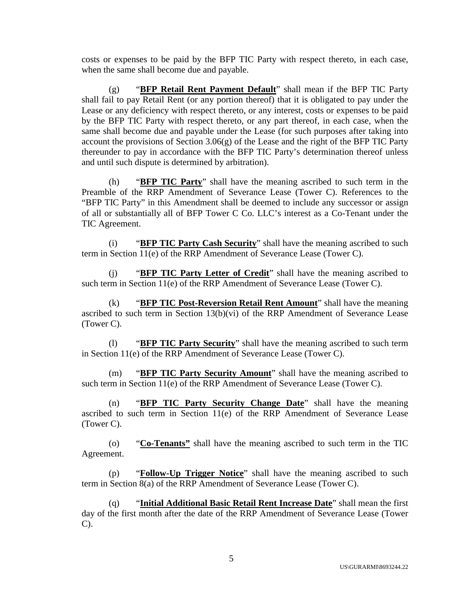costs or expenses to be paid by the BFP TIC Party with respect thereto, in each case, when the same shall become due and payable.

(g) "**BFP Retail Rent Payment Default**" shall mean if the BFP TIC Party shall fail to pay Retail Rent (or any portion thereof) that it is obligated to pay under the Lease or any deficiency with respect thereto, or any interest, costs or expenses to be paid by the BFP TIC Party with respect thereto, or any part thereof, in each case, when the same shall become due and payable under the Lease (for such purposes after taking into account the provisions of Section  $3.06(g)$  of the Lease and the right of the BFP TIC Party thereunder to pay in accordance with the BFP TIC Party's determination thereof unless and until such dispute is determined by arbitration).

(h) "**BFP TIC Party**" shall have the meaning ascribed to such term in the Preamble of the RRP Amendment of Severance Lease (Tower C). References to the "BFP TIC Party" in this Amendment shall be deemed to include any successor or assign of all or substantially all of BFP Tower C Co. LLC's interest as a Co-Tenant under the TIC Agreement.

(i) "**BFP TIC Party Cash Security**" shall have the meaning ascribed to such term in Section 11(e) of the RRP Amendment of Severance Lease (Tower C).

(j) "**BFP TIC Party Letter of Credit**" shall have the meaning ascribed to such term in Section 11(e) of the RRP Amendment of Severance Lease (Tower C).

(k) "**BFP TIC Post-Reversion Retail Rent Amount**" shall have the meaning ascribed to such term in Section 13(b)(vi) of the RRP Amendment of Severance Lease (Tower C).

(l) "**BFP TIC Party Security**" shall have the meaning ascribed to such term in Section 11(e) of the RRP Amendment of Severance Lease (Tower C).

(m) "**BFP TIC Party Security Amount**" shall have the meaning ascribed to such term in Section 11(e) of the RRP Amendment of Severance Lease (Tower C).

(n) "**BFP TIC Party Security Change Date**" shall have the meaning ascribed to such term in Section 11(e) of the RRP Amendment of Severance Lease (Tower C).

(o) "**Co-Tenants"** shall have the meaning ascribed to such term in the TIC Agreement.

(p) "**Follow-Up Trigger Notice**" shall have the meaning ascribed to such term in Section 8(a) of the RRP Amendment of Severance Lease (Tower C).

(q) "**Initial Additional Basic Retail Rent Increase Date**" shall mean the first day of the first month after the date of the RRP Amendment of Severance Lease (Tower C).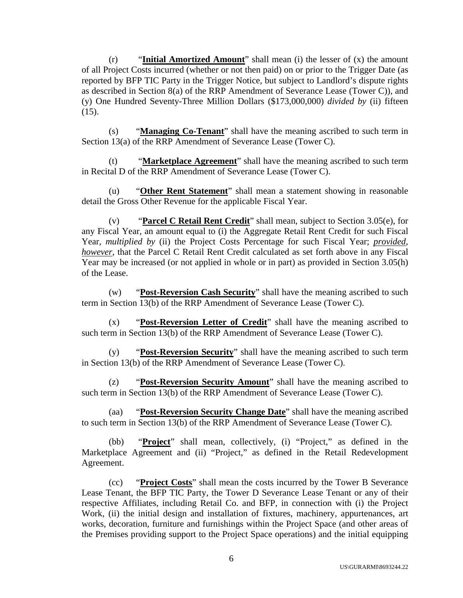(r) "**Initial Amortized Amount**" shall mean (i) the lesser of (x) the amount of all Project Costs incurred (whether or not then paid) on or prior to the Trigger Date (as reported by BFP TIC Party in the Trigger Notice, but subject to Landlord's dispute rights as described in Section 8(a) of the RRP Amendment of Severance Lease (Tower C)), and (y) One Hundred Seventy-Three Million Dollars (\$173,000,000) *divided by* (ii) fifteen  $(15)$ .

(s) "**Managing Co-Tenant**" shall have the meaning ascribed to such term in Section 13(a) of the RRP Amendment of Severance Lease (Tower C).

(t) "**Marketplace Agreement**" shall have the meaning ascribed to such term in Recital D of the RRP Amendment of Severance Lease (Tower C).

(u) "**Other Rent Statement**" shall mean a statement showing in reasonable detail the Gross Other Revenue for the applicable Fiscal Year.

"**Parcel C Retail Rent Credit**" shall mean, subject to Section 3.05(e), for any Fiscal Year, an amount equal to (i) the Aggregate Retail Rent Credit for such Fiscal Year, *multiplied by* (ii) the Project Costs Percentage for such Fiscal Year; *provided*, *however*, that the Parcel C Retail Rent Credit calculated as set forth above in any Fiscal Year may be increased (or not applied in whole or in part) as provided in Section 3.05(h) of the Lease.

(w) "**Post-Reversion Cash Security**" shall have the meaning ascribed to such term in Section 13(b) of the RRP Amendment of Severance Lease (Tower C).

(x) "**Post-Reversion Letter of Credit**" shall have the meaning ascribed to such term in Section 13(b) of the RRP Amendment of Severance Lease (Tower C).

(y) "**Post-Reversion Security**" shall have the meaning ascribed to such term in Section 13(b) of the RRP Amendment of Severance Lease (Tower C).

(z) "**Post-Reversion Security Amount**" shall have the meaning ascribed to such term in Section 13(b) of the RRP Amendment of Severance Lease (Tower C).

(aa) "**Post-Reversion Security Change Date**" shall have the meaning ascribed to such term in Section 13(b) of the RRP Amendment of Severance Lease (Tower C).

(bb) "**Project**" shall mean, collectively, (i) "Project," as defined in the Marketplace Agreement and (ii) "Project," as defined in the Retail Redevelopment Agreement.

(cc) "**Project Costs**" shall mean the costs incurred by the Tower B Severance Lease Tenant, the BFP TIC Party, the Tower D Severance Lease Tenant or any of their respective Affiliates, including Retail Co. and BFP, in connection with (i) the Project Work, (ii) the initial design and installation of fixtures, machinery, appurtenances, art works, decoration, furniture and furnishings within the Project Space (and other areas of the Premises providing support to the Project Space operations) and the initial equipping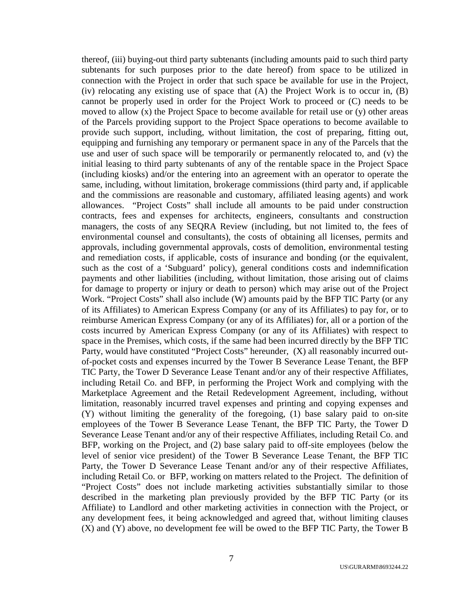thereof, (iii) buying-out third party subtenants (including amounts paid to such third party subtenants for such purposes prior to the date hereof) from space to be utilized in connection with the Project in order that such space be available for use in the Project, (iv) relocating any existing use of space that (A) the Project Work is to occur in, (B) cannot be properly used in order for the Project Work to proceed or (C) needs to be moved to allow (x) the Project Space to become available for retail use or (y) other areas of the Parcels providing support to the Project Space operations to become available to provide such support, including, without limitation, the cost of preparing, fitting out, equipping and furnishing any temporary or permanent space in any of the Parcels that the use and user of such space will be temporarily or permanently relocated to, and (v) the initial leasing to third party subtenants of any of the rentable space in the Project Space (including kiosks) and/or the entering into an agreement with an operator to operate the same, including, without limitation, brokerage commissions (third party and, if applicable and the commissions are reasonable and customary, affiliated leasing agents) and work allowances. "Project Costs" shall include all amounts to be paid under construction contracts, fees and expenses for architects, engineers, consultants and construction managers, the costs of any SEQRA Review (including, but not limited to, the fees of environmental counsel and consultants), the costs of obtaining all licenses, permits and approvals, including governmental approvals, costs of demolition, environmental testing and remediation costs, if applicable, costs of insurance and bonding (or the equivalent, such as the cost of a 'Subguard' policy), general conditions costs and indemnification payments and other liabilities (including, without limitation, those arising out of claims for damage to property or injury or death to person) which may arise out of the Project Work. "Project Costs" shall also include (W) amounts paid by the BFP TIC Party (or any of its Affiliates) to American Express Company (or any of its Affiliates) to pay for, or to reimburse American Express Company (or any of its Affiliates) for, all or a portion of the costs incurred by American Express Company (or any of its Affiliates) with respect to space in the Premises, which costs, if the same had been incurred directly by the BFP TIC Party, would have constituted "Project Costs" hereunder, (X) all reasonably incurred outof-pocket costs and expenses incurred by the Tower B Severance Lease Tenant, the BFP TIC Party, the Tower D Severance Lease Tenant and/or any of their respective Affiliates, including Retail Co. and BFP, in performing the Project Work and complying with the Marketplace Agreement and the Retail Redevelopment Agreement, including, without limitation, reasonably incurred travel expenses and printing and copying expenses and (Y) without limiting the generality of the foregoing, (1) base salary paid to on-site employees of the Tower B Severance Lease Tenant, the BFP TIC Party, the Tower D Severance Lease Tenant and/or any of their respective Affiliates, including Retail Co. and BFP, working on the Project, and (2) base salary paid to off-site employees (below the level of senior vice president) of the Tower B Severance Lease Tenant, the BFP TIC Party, the Tower D Severance Lease Tenant and/or any of their respective Affiliates, including Retail Co. or BFP, working on matters related to the Project. The definition of "Project Costs" does not include marketing activities substantially similar to those described in the marketing plan previously provided by the BFP TIC Party (or its Affiliate) to Landlord and other marketing activities in connection with the Project, or any development fees, it being acknowledged and agreed that, without limiting clauses (X) and (Y) above, no development fee will be owed to the BFP TIC Party, the Tower B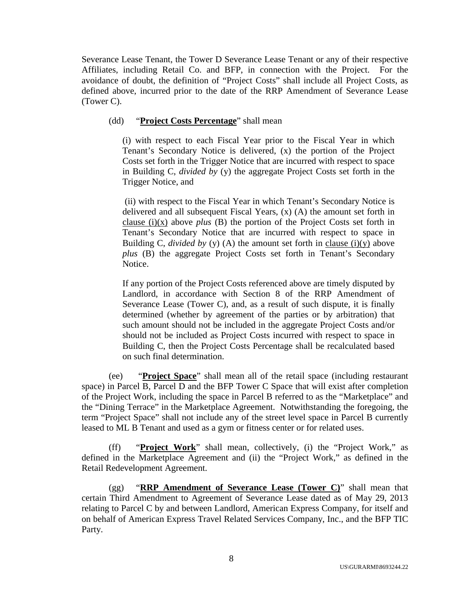Severance Lease Tenant, the Tower D Severance Lease Tenant or any of their respective Affiliates, including Retail Co. and BFP, in connection with the Project. For the avoidance of doubt, the definition of "Project Costs" shall include all Project Costs, as defined above, incurred prior to the date of the RRP Amendment of Severance Lease (Tower C).

# (dd) "**Project Costs Percentage**" shall mean

(i) with respect to each Fiscal Year prior to the Fiscal Year in which Tenant's Secondary Notice is delivered, (x) the portion of the Project Costs set forth in the Trigger Notice that are incurred with respect to space in Building C, *divided by* (y) the aggregate Project Costs set forth in the Trigger Notice, and

(ii) with respect to the Fiscal Year in which Tenant's Secondary Notice is delivered and all subsequent Fiscal Years, (x) (A) the amount set forth in clause (i)(x) above *plus* (B) the portion of the Project Costs set forth in Tenant's Secondary Notice that are incurred with respect to space in Building C, *divided by* (y) (A) the amount set forth in clause (i)(y) above *plus* (B) the aggregate Project Costs set forth in Tenant's Secondary Notice.

If any portion of the Project Costs referenced above are timely disputed by Landlord, in accordance with Section 8 of the RRP Amendment of Severance Lease (Tower C), and, as a result of such dispute, it is finally determined (whether by agreement of the parties or by arbitration) that such amount should not be included in the aggregate Project Costs and/or should not be included as Project Costs incurred with respect to space in Building C, then the Project Costs Percentage shall be recalculated based on such final determination.

(ee) "**Project Space**" shall mean all of the retail space (including restaurant space) in Parcel B, Parcel D and the BFP Tower C Space that will exist after completion of the Project Work, including the space in Parcel B referred to as the "Marketplace" and the "Dining Terrace" in the Marketplace Agreement. Notwithstanding the foregoing, the term "Project Space" shall not include any of the street level space in Parcel B currently leased to ML B Tenant and used as a gym or fitness center or for related uses.

(ff) "**Project Work**" shall mean, collectively, (i) the "Project Work," as defined in the Marketplace Agreement and (ii) the "Project Work," as defined in the Retail Redevelopment Agreement.

(gg) "**RRP Amendment of Severance Lease (Tower C)**" shall mean that certain Third Amendment to Agreement of Severance Lease dated as of May 29, 2013 relating to Parcel C by and between Landlord, American Express Company, for itself and on behalf of American Express Travel Related Services Company, Inc., and the BFP TIC Party.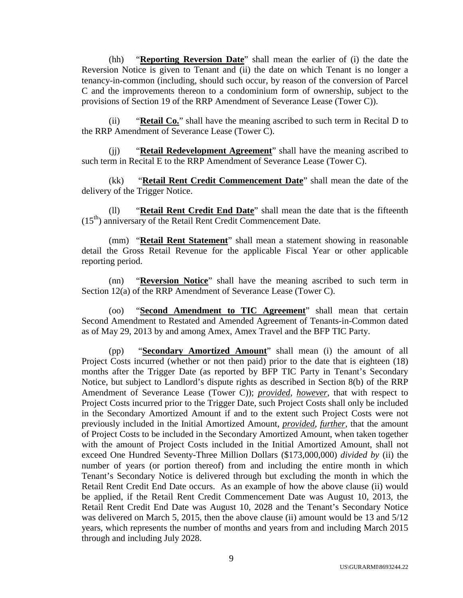(hh) "**Reporting Reversion Date**" shall mean the earlier of (i) the date the Reversion Notice is given to Tenant and (ii) the date on which Tenant is no longer a tenancy-in-common (including, should such occur, by reason of the conversion of Parcel C and the improvements thereon to a condominium form of ownership, subject to the provisions of Section 19 of the RRP Amendment of Severance Lease (Tower C)).

(ii) "**Retail Co.**" shall have the meaning ascribed to such term in Recital D to the RRP Amendment of Severance Lease (Tower C).

(jj) "**Retail Redevelopment Agreement**" shall have the meaning ascribed to such term in Recital E to the RRP Amendment of Severance Lease (Tower C).

(kk) "**Retail Rent Credit Commencement Date**" shall mean the date of the delivery of the Trigger Notice.

(ll) "**Retail Rent Credit End Date**" shall mean the date that is the fifteenth  $(15<sup>th</sup>)$  anniversary of the Retail Rent Credit Commencement Date.

(mm) "**Retail Rent Statement**" shall mean a statement showing in reasonable detail the Gross Retail Revenue for the applicable Fiscal Year or other applicable reporting period.

(nn) "**Reversion Notice**" shall have the meaning ascribed to such term in Section 12(a) of the RRP Amendment of Severance Lease (Tower C).

(oo) "**Second Amendment to TIC Agreement**" shall mean that certain Second Amendment to Restated and Amended Agreement of Tenants-in-Common dated as of May 29, 2013 by and among Amex, Amex Travel and the BFP TIC Party.

(pp) "**Secondary Amortized Amount**" shall mean (i) the amount of all Project Costs incurred (whether or not then paid) prior to the date that is eighteen (18) months after the Trigger Date (as reported by BFP TIC Party in Tenant's Secondary Notice, but subject to Landlord's dispute rights as described in Section 8(b) of the RRP Amendment of Severance Lease (Tower C)); *provided*, *however*, that with respect to Project Costs incurred prior to the Trigger Date, such Project Costs shall only be included in the Secondary Amortized Amount if and to the extent such Project Costs were not previously included in the Initial Amortized Amount, *provided*, *further*, that the amount of Project Costs to be included in the Secondary Amortized Amount, when taken together with the amount of Project Costs included in the Initial Amortized Amount, shall not exceed One Hundred Seventy-Three Million Dollars (\$173,000,000) *divided by* (ii) the number of years (or portion thereof) from and including the entire month in which Tenant's Secondary Notice is delivered through but excluding the month in which the Retail Rent Credit End Date occurs. As an example of how the above clause (ii) would be applied, if the Retail Rent Credit Commencement Date was August 10, 2013, the Retail Rent Credit End Date was August 10, 2028 and the Tenant's Secondary Notice was delivered on March 5, 2015, then the above clause (ii) amount would be 13 and 5/12 years, which represents the number of months and years from and including March 2015 through and including July 2028.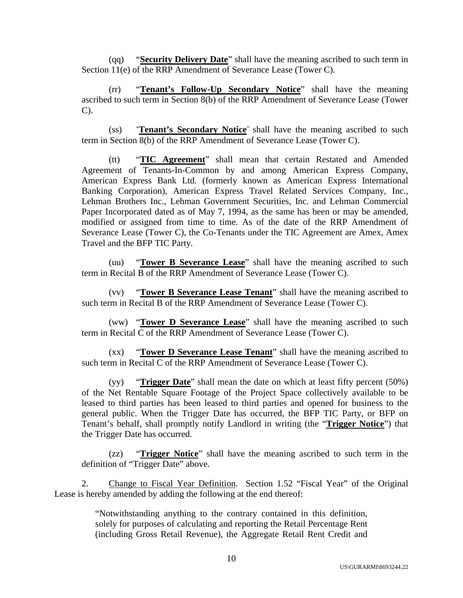(qq) "**Security Delivery Date**" shall have the meaning ascribed to such term in Section 11(e) of the RRP Amendment of Severance Lease (Tower C).

(rr) "**Tenant's Follow-Up Secondary Notice**" shall have the meaning ascribed to such term in Section 8(b) of the RRP Amendment of Severance Lease (Tower C).

(ss) "**Tenant's Secondary Notice**" shall have the meaning ascribed to such term in Section 8(b) of the RRP Amendment of Severance Lease (Tower C).

(tt) "**TIC Agreement**" shall mean that certain Restated and Amended Agreement of Tenants-In-Common by and among American Express Company, American Express Bank Ltd. (formerly known as American Express International Banking Corporation), American Express Travel Related Services Company, Inc., Lehman Brothers Inc., Lehman Government Securities, Inc. and Lehman Commercial Paper Incorporated dated as of May 7, 1994, as the same has been or may be amended, modified or assigned from time to time. As of the date of the RRP Amendment of Severance Lease (Tower C), the Co-Tenants under the TIC Agreement are Amex, Amex Travel and the BFP TIC Party.

(uu) "**Tower B Severance Lease**" shall have the meaning ascribed to such term in Recital B of the RRP Amendment of Severance Lease (Tower C).

(vv) "**Tower B Severance Lease Tenant**" shall have the meaning ascribed to such term in Recital B of the RRP Amendment of Severance Lease (Tower C).

(ww) "**Tower D Severance Lease**" shall have the meaning ascribed to such term in Recital C of the RRP Amendment of Severance Lease (Tower C).

(xx) "**Tower D Severance Lease Tenant**" shall have the meaning ascribed to such term in Recital C of the RRP Amendment of Severance Lease (Tower C).

(yy) "**Trigger Date**" shall mean the date on which at least fifty percent (50%) of the Net Rentable Square Footage of the Project Space collectively available to be leased to third parties has been leased to third parties and opened for business to the general public. When the Trigger Date has occurred, the BFP TIC Party, or BFP on Tenant's behalf, shall promptly notify Landlord in writing (the "**Trigger Notice**") that the Trigger Date has occurred.

(zz) "**Trigger Notice**" shall have the meaning ascribed to such term in the definition of "Trigger Date" above.

2. Change to Fiscal Year Definition. Section 1.52 "Fiscal Year" of the Original Lease is hereby amended by adding the following at the end thereof:

> "Notwithstanding anything to the contrary contained in this definition, solely for purposes of calculating and reporting the Retail Percentage Rent (including Gross Retail Revenue), the Aggregate Retail Rent Credit and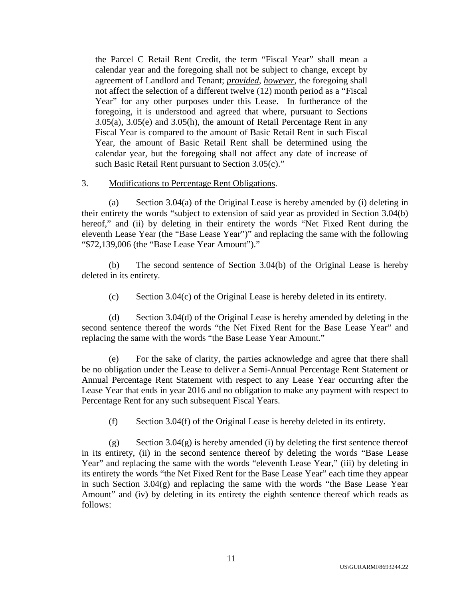the Parcel C Retail Rent Credit, the term "Fiscal Year" shall mean a calendar year and the foregoing shall not be subject to change, except by agreement of Landlord and Tenant; *provided*, *however*, the foregoing shall not affect the selection of a different twelve (12) month period as a "Fiscal Year" for any other purposes under this Lease. In furtherance of the foregoing, it is understood and agreed that where, pursuant to Sections 3.05(a), 3.05(e) and 3.05(h), the amount of Retail Percentage Rent in any Fiscal Year is compared to the amount of Basic Retail Rent in such Fiscal Year, the amount of Basic Retail Rent shall be determined using the calendar year, but the foregoing shall not affect any date of increase of such Basic Retail Rent pursuant to Section 3.05(c)."

## 3. Modifications to Percentage Rent Obligations.

(a) Section 3.04(a) of the Original Lease is hereby amended by (i) deleting in their entirety the words "subject to extension of said year as provided in Section 3.04(b) hereof," and (ii) by deleting in their entirety the words "Net Fixed Rent during the eleventh Lease Year (the "Base Lease Year")" and replacing the same with the following "\$72,139,006 (the "Base Lease Year Amount")."

(b) The second sentence of Section 3.04(b) of the Original Lease is hereby deleted in its entirety.

(c) Section 3.04(c) of the Original Lease is hereby deleted in its entirety.

(d) Section 3.04(d) of the Original Lease is hereby amended by deleting in the second sentence thereof the words "the Net Fixed Rent for the Base Lease Year" and replacing the same with the words "the Base Lease Year Amount."

(e) For the sake of clarity, the parties acknowledge and agree that there shall be no obligation under the Lease to deliver a Semi-Annual Percentage Rent Statement or Annual Percentage Rent Statement with respect to any Lease Year occurring after the Lease Year that ends in year 2016 and no obligation to make any payment with respect to Percentage Rent for any such subsequent Fiscal Years.

(f) Section 3.04(f) of the Original Lease is hereby deleted in its entirety.

(g) Section 3.04(g) is hereby amended (i) by deleting the first sentence thereof in its entirety, (ii) in the second sentence thereof by deleting the words "Base Lease Year" and replacing the same with the words "eleventh Lease Year," (iii) by deleting in its entirety the words "the Net Fixed Rent for the Base Lease Year" each time they appear in such Section 3.04(g) and replacing the same with the words "the Base Lease Year Amount" and (iv) by deleting in its entirety the eighth sentence thereof which reads as follows: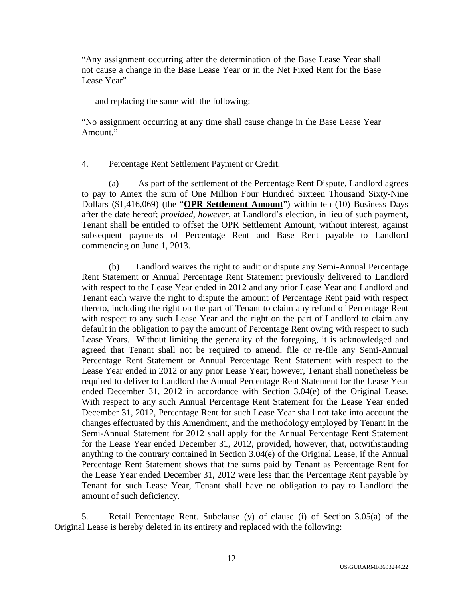"Any assignment occurring after the determination of the Base Lease Year shall not cause a change in the Base Lease Year or in the Net Fixed Rent for the Base Lease Year"

and replacing the same with the following:

"No assignment occurring at any time shall cause change in the Base Lease Year Amount."

# 4. Percentage Rent Settlement Payment or Credit.

(a) As part of the settlement of the Percentage Rent Dispute, Landlord agrees to pay to Amex the sum of One Million Four Hundred Sixteen Thousand Sixty-Nine Dollars (\$1,416,069) (the "**OPR Settlement Amount**") within ten (10) Business Days after the date hereof; *provided*, *however*, at Landlord's election, in lieu of such payment, Tenant shall be entitled to offset the OPR Settlement Amount, without interest, against subsequent payments of Percentage Rent and Base Rent payable to Landlord commencing on June 1, 2013.

(b) Landlord waives the right to audit or dispute any Semi-Annual Percentage Rent Statement or Annual Percentage Rent Statement previously delivered to Landlord with respect to the Lease Year ended in 2012 and any prior Lease Year and Landlord and Tenant each waive the right to dispute the amount of Percentage Rent paid with respect thereto, including the right on the part of Tenant to claim any refund of Percentage Rent with respect to any such Lease Year and the right on the part of Landlord to claim any default in the obligation to pay the amount of Percentage Rent owing with respect to such Lease Years. Without limiting the generality of the foregoing, it is acknowledged and agreed that Tenant shall not be required to amend, file or re-file any Semi-Annual Percentage Rent Statement or Annual Percentage Rent Statement with respect to the Lease Year ended in 2012 or any prior Lease Year; however, Tenant shall nonetheless be required to deliver to Landlord the Annual Percentage Rent Statement for the Lease Year ended December 31, 2012 in accordance with Section 3.04(e) of the Original Lease. With respect to any such Annual Percentage Rent Statement for the Lease Year ended December 31, 2012, Percentage Rent for such Lease Year shall not take into account the changes effectuated by this Amendment, and the methodology employed by Tenant in the Semi-Annual Statement for 2012 shall apply for the Annual Percentage Rent Statement for the Lease Year ended December 31, 2012, provided, however, that, notwithstanding anything to the contrary contained in Section 3.04(e) of the Original Lease, if the Annual Percentage Rent Statement shows that the sums paid by Tenant as Percentage Rent for the Lease Year ended December 31, 2012 were less than the Percentage Rent payable by Tenant for such Lease Year, Tenant shall have no obligation to pay to Landlord the amount of such deficiency.

5. Retail Percentage Rent. Subclause (y) of clause (i) of Section 3.05(a) of the Original Lease is hereby deleted in its entirety and replaced with the following: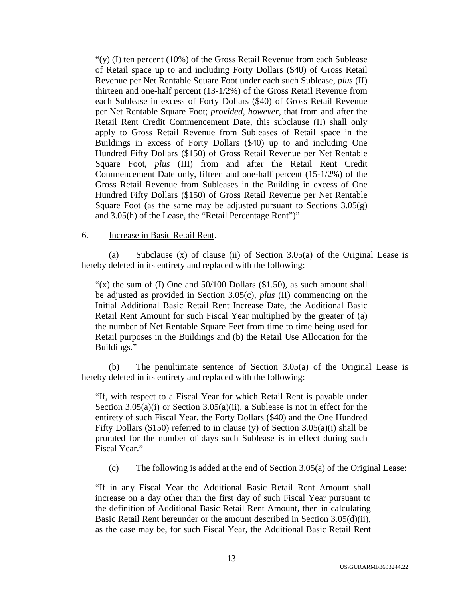" $(y)$  (I) ten percent (10%) of the Gross Retail Revenue from each Sublease of Retail space up to and including Forty Dollars (\$40) of Gross Retail Revenue per Net Rentable Square Foot under each such Sublease, *plus* (II) thirteen and one-half percent (13-1/2%) of the Gross Retail Revenue from each Sublease in excess of Forty Dollars (\$40) of Gross Retail Revenue per Net Rentable Square Foot; *provided*, *however*, that from and after the Retail Rent Credit Commencement Date, this subclause (II) shall only apply to Gross Retail Revenue from Subleases of Retail space in the Buildings in excess of Forty Dollars (\$40) up to and including One Hundred Fifty Dollars (\$150) of Gross Retail Revenue per Net Rentable Square Foot, *plus* (III) from and after the Retail Rent Credit Commencement Date only, fifteen and one-half percent (15-1/2%) of the Gross Retail Revenue from Subleases in the Building in excess of One Hundred Fifty Dollars (\$150) of Gross Retail Revenue per Net Rentable Square Foot (as the same may be adjusted pursuant to Sections  $3.05(g)$ ) and 3.05(h) of the Lease, the "Retail Percentage Rent")"

#### 6. Increase in Basic Retail Rent.

(a) Subclause (x) of clause (ii) of Section 3.05(a) of the Original Lease is hereby deleted in its entirety and replaced with the following:

" $(x)$  the sum of (I) One and 50/100 Dollars (\$1.50), as such amount shall be adjusted as provided in Section 3.05(c), *plus* (II) commencing on the Initial Additional Basic Retail Rent Increase Date, the Additional Basic Retail Rent Amount for such Fiscal Year multiplied by the greater of (a) the number of Net Rentable Square Feet from time to time being used for Retail purposes in the Buildings and (b) the Retail Use Allocation for the Buildings."

(b) The penultimate sentence of Section 3.05(a) of the Original Lease is hereby deleted in its entirety and replaced with the following:

"If, with respect to a Fiscal Year for which Retail Rent is payable under Section 3.05(a)(i) or Section 3.05(a)(ii), a Sublease is not in effect for the entirety of such Fiscal Year, the Forty Dollars (\$40) and the One Hundred Fifty Dollars (\$150) referred to in clause (y) of Section  $3.05(a)(i)$  shall be prorated for the number of days such Sublease is in effect during such Fiscal Year."

(c) The following is added at the end of Section 3.05(a) of the Original Lease:

"If in any Fiscal Year the Additional Basic Retail Rent Amount shall increase on a day other than the first day of such Fiscal Year pursuant to the definition of Additional Basic Retail Rent Amount, then in calculating Basic Retail Rent hereunder or the amount described in Section 3.05(d)(ii), as the case may be, for such Fiscal Year, the Additional Basic Retail Rent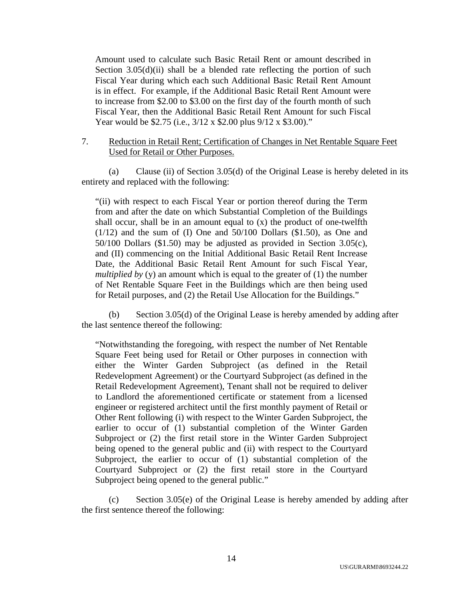Amount used to calculate such Basic Retail Rent or amount described in Section  $3.05(d)(ii)$  shall be a blended rate reflecting the portion of such Fiscal Year during which each such Additional Basic Retail Rent Amount is in effect. For example, if the Additional Basic Retail Rent Amount were to increase from \$2.00 to \$3.00 on the first day of the fourth month of such Fiscal Year, then the Additional Basic Retail Rent Amount for such Fiscal Year would be \$2.75 (i.e.,  $3/12 \times$  \$2.00 plus  $9/12 \times$  \$3.00)."

### 7. Reduction in Retail Rent; Certification of Changes in Net Rentable Square Feet Used for Retail or Other Purposes.

(a) Clause (ii) of Section 3.05(d) of the Original Lease is hereby deleted in its entirety and replaced with the following:

"(ii) with respect to each Fiscal Year or portion thereof during the Term from and after the date on which Substantial Completion of the Buildings shall occur, shall be in an amount equal to (x) the product of one-twelfth  $(1/12)$  and the sum of (I) One and  $50/100$  Dollars  $($1.50)$ , as One and 50/100 Dollars (\$1.50) may be adjusted as provided in Section 3.05(c), and (II) commencing on the Initial Additional Basic Retail Rent Increase Date, the Additional Basic Retail Rent Amount for such Fiscal Year, *multiplied by* (y) an amount which is equal to the greater of (1) the number of Net Rentable Square Feet in the Buildings which are then being used for Retail purposes, and (2) the Retail Use Allocation for the Buildings."

(b) Section 3.05(d) of the Original Lease is hereby amended by adding after the last sentence thereof the following:

"Notwithstanding the foregoing, with respect the number of Net Rentable Square Feet being used for Retail or Other purposes in connection with either the Winter Garden Subproject (as defined in the Retail Redevelopment Agreement) or the Courtyard Subproject (as defined in the Retail Redevelopment Agreement), Tenant shall not be required to deliver to Landlord the aforementioned certificate or statement from a licensed engineer or registered architect until the first monthly payment of Retail or Other Rent following (i) with respect to the Winter Garden Subproject, the earlier to occur of (1) substantial completion of the Winter Garden Subproject or (2) the first retail store in the Winter Garden Subproject being opened to the general public and (ii) with respect to the Courtyard Subproject, the earlier to occur of (1) substantial completion of the Courtyard Subproject or (2) the first retail store in the Courtyard Subproject being opened to the general public."

(c) Section 3.05(e) of the Original Lease is hereby amended by adding after the first sentence thereof the following: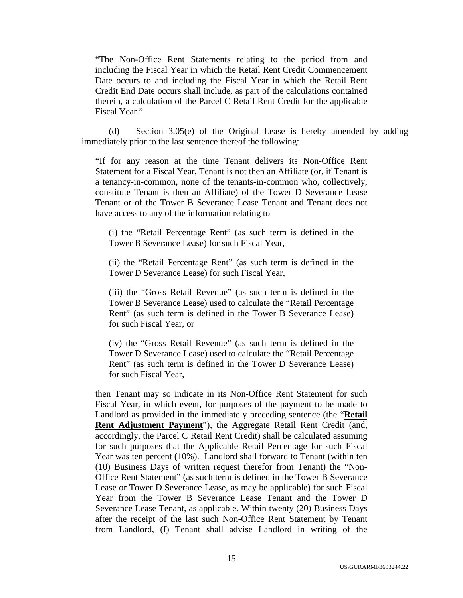"The Non-Office Rent Statements relating to the period from and including the Fiscal Year in which the Retail Rent Credit Commencement Date occurs to and including the Fiscal Year in which the Retail Rent Credit End Date occurs shall include, as part of the calculations contained therein, a calculation of the Parcel C Retail Rent Credit for the applicable Fiscal Year."

(d) Section 3.05(e) of the Original Lease is hereby amended by adding immediately prior to the last sentence thereof the following:

"If for any reason at the time Tenant delivers its Non-Office Rent Statement for a Fiscal Year, Tenant is not then an Affiliate (or, if Tenant is a tenancy-in-common, none of the tenants-in-common who, collectively, constitute Tenant is then an Affiliate) of the Tower D Severance Lease Tenant or of the Tower B Severance Lease Tenant and Tenant does not have access to any of the information relating to

(i) the "Retail Percentage Rent" (as such term is defined in the Tower B Severance Lease) for such Fiscal Year,

(ii) the "Retail Percentage Rent" (as such term is defined in the Tower D Severance Lease) for such Fiscal Year,

(iii) the "Gross Retail Revenue" (as such term is defined in the Tower B Severance Lease) used to calculate the "Retail Percentage Rent" (as such term is defined in the Tower B Severance Lease) for such Fiscal Year, or

(iv) the "Gross Retail Revenue" (as such term is defined in the Tower D Severance Lease) used to calculate the "Retail Percentage Rent" (as such term is defined in the Tower D Severance Lease) for such Fiscal Year,

then Tenant may so indicate in its Non-Office Rent Statement for such Fiscal Year, in which event, for purposes of the payment to be made to Landlord as provided in the immediately preceding sentence (the "**Retail Rent Adjustment Payment**"), the Aggregate Retail Rent Credit (and, accordingly, the Parcel C Retail Rent Credit) shall be calculated assuming for such purposes that the Applicable Retail Percentage for such Fiscal Year was ten percent (10%). Landlord shall forward to Tenant (within ten (10) Business Days of written request therefor from Tenant) the "Non-Office Rent Statement" (as such term is defined in the Tower B Severance Lease or Tower D Severance Lease, as may be applicable) for such Fiscal Year from the Tower B Severance Lease Tenant and the Tower D Severance Lease Tenant, as applicable. Within twenty (20) Business Days after the receipt of the last such Non-Office Rent Statement by Tenant from Landlord, (I) Tenant shall advise Landlord in writing of the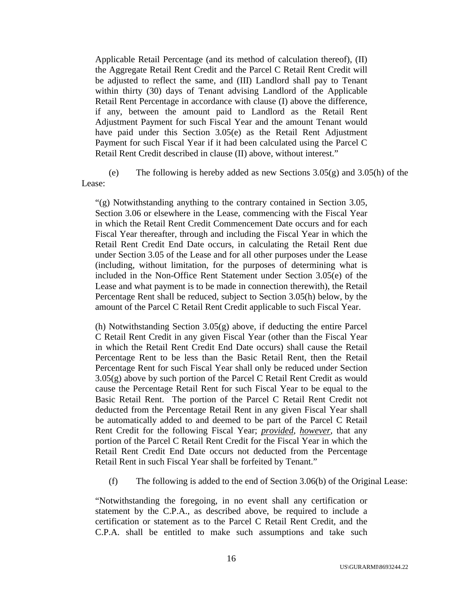Applicable Retail Percentage (and its method of calculation thereof), (II) the Aggregate Retail Rent Credit and the Parcel C Retail Rent Credit will be adjusted to reflect the same, and (III) Landlord shall pay to Tenant within thirty (30) days of Tenant advising Landlord of the Applicable Retail Rent Percentage in accordance with clause (I) above the difference, if any, between the amount paid to Landlord as the Retail Rent Adjustment Payment for such Fiscal Year and the amount Tenant would have paid under this Section 3.05(e) as the Retail Rent Adjustment Payment for such Fiscal Year if it had been calculated using the Parcel C Retail Rent Credit described in clause (II) above, without interest."

(e) The following is hereby added as new Sections  $3.05(g)$  and  $3.05(h)$  of the Lease:

"(g) Notwithstanding anything to the contrary contained in Section 3.05, Section 3.06 or elsewhere in the Lease, commencing with the Fiscal Year in which the Retail Rent Credit Commencement Date occurs and for each Fiscal Year thereafter, through and including the Fiscal Year in which the Retail Rent Credit End Date occurs, in calculating the Retail Rent due under Section 3.05 of the Lease and for all other purposes under the Lease (including, without limitation, for the purposes of determining what is included in the Non-Office Rent Statement under Section 3.05(e) of the Lease and what payment is to be made in connection therewith), the Retail Percentage Rent shall be reduced, subject to Section 3.05(h) below, by the amount of the Parcel C Retail Rent Credit applicable to such Fiscal Year.

(h) Notwithstanding Section 3.05(g) above, if deducting the entire Parcel C Retail Rent Credit in any given Fiscal Year (other than the Fiscal Year in which the Retail Rent Credit End Date occurs) shall cause the Retail Percentage Rent to be less than the Basic Retail Rent, then the Retail Percentage Rent for such Fiscal Year shall only be reduced under Section 3.05(g) above by such portion of the Parcel C Retail Rent Credit as would cause the Percentage Retail Rent for such Fiscal Year to be equal to the Basic Retail Rent. The portion of the Parcel C Retail Rent Credit not deducted from the Percentage Retail Rent in any given Fiscal Year shall be automatically added to and deemed to be part of the Parcel C Retail Rent Credit for the following Fiscal Year; *provided*, *however*, that any portion of the Parcel C Retail Rent Credit for the Fiscal Year in which the Retail Rent Credit End Date occurs not deducted from the Percentage Retail Rent in such Fiscal Year shall be forfeited by Tenant."

(f) The following is added to the end of Section 3.06(b) of the Original Lease:

"Notwithstanding the foregoing, in no event shall any certification or statement by the C.P.A., as described above, be required to include a certification or statement as to the Parcel C Retail Rent Credit, and the C.P.A. shall be entitled to make such assumptions and take such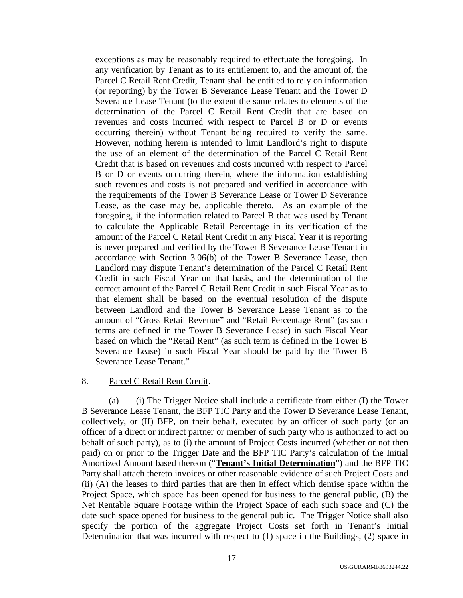exceptions as may be reasonably required to effectuate the foregoing. In any verification by Tenant as to its entitlement to, and the amount of, the Parcel C Retail Rent Credit, Tenant shall be entitled to rely on information (or reporting) by the Tower B Severance Lease Tenant and the Tower D Severance Lease Tenant (to the extent the same relates to elements of the determination of the Parcel C Retail Rent Credit that are based on revenues and costs incurred with respect to Parcel B or D or events occurring therein) without Tenant being required to verify the same. However, nothing herein is intended to limit Landlord's right to dispute the use of an element of the determination of the Parcel C Retail Rent Credit that is based on revenues and costs incurred with respect to Parcel B or D or events occurring therein, where the information establishing such revenues and costs is not prepared and verified in accordance with the requirements of the Tower B Severance Lease or Tower D Severance Lease, as the case may be, applicable thereto. As an example of the foregoing, if the information related to Parcel B that was used by Tenant to calculate the Applicable Retail Percentage in its verification of the amount of the Parcel C Retail Rent Credit in any Fiscal Year it is reporting is never prepared and verified by the Tower B Severance Lease Tenant in accordance with Section 3.06(b) of the Tower B Severance Lease, then Landlord may dispute Tenant's determination of the Parcel C Retail Rent Credit in such Fiscal Year on that basis, and the determination of the correct amount of the Parcel C Retail Rent Credit in such Fiscal Year as to that element shall be based on the eventual resolution of the dispute between Landlord and the Tower B Severance Lease Tenant as to the amount of "Gross Retail Revenue" and "Retail Percentage Rent" (as such terms are defined in the Tower B Severance Lease) in such Fiscal Year based on which the "Retail Rent" (as such term is defined in the Tower B Severance Lease) in such Fiscal Year should be paid by the Tower B Severance Lease Tenant."

# 8. Parcel C Retail Rent Credit.

(a) (i) The Trigger Notice shall include a certificate from either (I) the Tower B Severance Lease Tenant, the BFP TIC Party and the Tower D Severance Lease Tenant, collectively, or (II) BFP, on their behalf, executed by an officer of such party (or an officer of a direct or indirect partner or member of such party who is authorized to act on behalf of such party), as to (i) the amount of Project Costs incurred (whether or not then paid) on or prior to the Trigger Date and the BFP TIC Party's calculation of the Initial Amortized Amount based thereon ("**Tenant's Initial Determination**") and the BFP TIC Party shall attach thereto invoices or other reasonable evidence of such Project Costs and (ii) (A) the leases to third parties that are then in effect which demise space within the Project Space, which space has been opened for business to the general public, (B) the Net Rentable Square Footage within the Project Space of each such space and (C) the date such space opened for business to the general public. The Trigger Notice shall also specify the portion of the aggregate Project Costs set forth in Tenant's Initial Determination that was incurred with respect to (1) space in the Buildings, (2) space in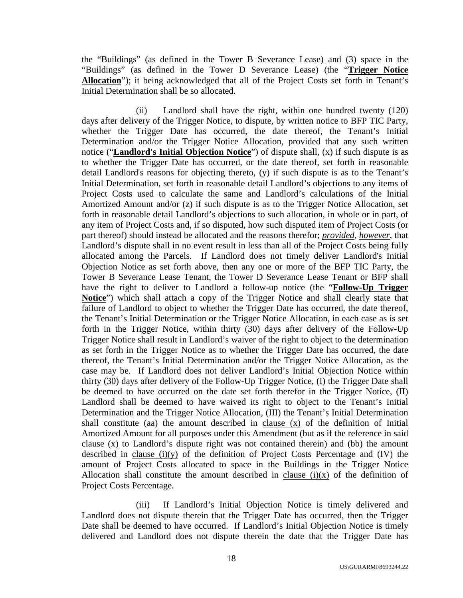the "Buildings" (as defined in the Tower B Severance Lease) and (3) space in the "Buildings" (as defined in the Tower D Severance Lease) (the "**Trigger Notice Allocation**"); it being acknowledged that all of the Project Costs set forth in Tenant's Initial Determination shall be so allocated.

(ii) Landlord shall have the right, within one hundred twenty (120) days after delivery of the Trigger Notice, to dispute, by written notice to BFP TIC Party, whether the Trigger Date has occurred, the date thereof, the Tenant's Initial Determination and/or the Trigger Notice Allocation, provided that any such written notice ("**Landlord's Initial Objection Notice**") of dispute shall, (x) if such dispute is as to whether the Trigger Date has occurred, or the date thereof, set forth in reasonable detail Landlord's reasons for objecting thereto, (y) if such dispute is as to the Tenant's Initial Determination, set forth in reasonable detail Landlord's objections to any items of Project Costs used to calculate the same and Landlord's calculations of the Initial Amortized Amount and/or (z) if such dispute is as to the Trigger Notice Allocation, set forth in reasonable detail Landlord's objections to such allocation, in whole or in part, of any item of Project Costs and, if so disputed, how such disputed item of Project Costs (or part thereof) should instead be allocated and the reasons therefor; *provided*, *however*, that Landlord's dispute shall in no event result in less than all of the Project Costs being fully allocated among the Parcels. If Landlord does not timely deliver Landlord's Initial Objection Notice as set forth above, then any one or more of the BFP TIC Party, the Tower B Severance Lease Tenant, the Tower D Severance Lease Tenant or BFP shall have the right to deliver to Landlord a follow-up notice (the "**Follow-Up Trigger Notice**") which shall attach a copy of the Trigger Notice and shall clearly state that failure of Landlord to object to whether the Trigger Date has occurred, the date thereof, the Tenant's Initial Determination or the Trigger Notice Allocation, in each case as is set forth in the Trigger Notice, within thirty (30) days after delivery of the Follow-Up Trigger Notice shall result in Landlord's waiver of the right to object to the determination as set forth in the Trigger Notice as to whether the Trigger Date has occurred, the date thereof, the Tenant's Initial Determination and/or the Trigger Notice Allocation, as the case may be. If Landlord does not deliver Landlord's Initial Objection Notice within thirty (30) days after delivery of the Follow-Up Trigger Notice, (I) the Trigger Date shall be deemed to have occurred on the date set forth therefor in the Trigger Notice, (II) Landlord shall be deemed to have waived its right to object to the Tenant's Initial Determination and the Trigger Notice Allocation, (III) the Tenant's Initial Determination shall constitute (aa) the amount described in clause (x) of the definition of Initial Amortized Amount for all purposes under this Amendment (but as if the reference in said clause  $(x)$  to Landlord's dispute right was not contained therein) and (bb) the amount described in clause (i)(y) of the definition of Project Costs Percentage and (IV) the amount of Project Costs allocated to space in the Buildings in the Trigger Notice Allocation shall constitute the amount described in clause  $(i)(x)$  of the definition of Project Costs Percentage.

(iii) If Landlord's Initial Objection Notice is timely delivered and Landlord does not dispute therein that the Trigger Date has occurred, then the Trigger Date shall be deemed to have occurred. If Landlord's Initial Objection Notice is timely delivered and Landlord does not dispute therein the date that the Trigger Date has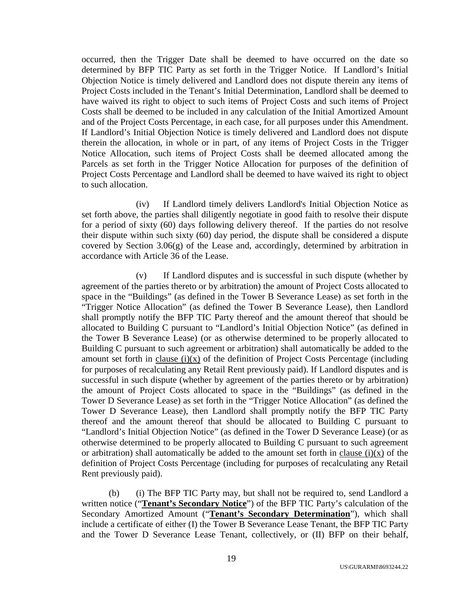occurred, then the Trigger Date shall be deemed to have occurred on the date so determined by BFP TIC Party as set forth in the Trigger Notice. If Landlord's Initial Objection Notice is timely delivered and Landlord does not dispute therein any items of Project Costs included in the Tenant's Initial Determination, Landlord shall be deemed to have waived its right to object to such items of Project Costs and such items of Project Costs shall be deemed to be included in any calculation of the Initial Amortized Amount and of the Project Costs Percentage, in each case, for all purposes under this Amendment. If Landlord's Initial Objection Notice is timely delivered and Landlord does not dispute therein the allocation, in whole or in part, of any items of Project Costs in the Trigger Notice Allocation, such items of Project Costs shall be deemed allocated among the Parcels as set forth in the Trigger Notice Allocation for purposes of the definition of Project Costs Percentage and Landlord shall be deemed to have waived its right to object to such allocation.

(iv) If Landlord timely delivers Landlord's Initial Objection Notice as set forth above, the parties shall diligently negotiate in good faith to resolve their dispute for a period of sixty (60) days following delivery thereof. If the parties do not resolve their dispute within such sixty (60) day period, the dispute shall be considered a dispute covered by Section  $3.06(g)$  of the Lease and, accordingly, determined by arbitration in accordance with Article 36 of the Lease.

(v) If Landlord disputes and is successful in such dispute (whether by agreement of the parties thereto or by arbitration) the amount of Project Costs allocated to space in the "Buildings" (as defined in the Tower B Severance Lease) as set forth in the "Trigger Notice Allocation" (as defined the Tower B Severance Lease), then Landlord shall promptly notify the BFP TIC Party thereof and the amount thereof that should be allocated to Building C pursuant to "Landlord's Initial Objection Notice" (as defined in the Tower B Severance Lease) (or as otherwise determined to be properly allocated to Building C pursuant to such agreement or arbitration) shall automatically be added to the amount set forth in clause  $(i)(x)$  of the definition of Project Costs Percentage (including for purposes of recalculating any Retail Rent previously paid). If Landlord disputes and is successful in such dispute (whether by agreement of the parties thereto or by arbitration) the amount of Project Costs allocated to space in the "Buildings" (as defined in the Tower D Severance Lease) as set forth in the "Trigger Notice Allocation" (as defined the Tower D Severance Lease), then Landlord shall promptly notify the BFP TIC Party thereof and the amount thereof that should be allocated to Building C pursuant to "Landlord's Initial Objection Notice" (as defined in the Tower D Severance Lease) (or as otherwise determined to be properly allocated to Building C pursuant to such agreement or arbitration) shall automatically be added to the amount set forth in clause  $(i)(x)$  of the definition of Project Costs Percentage (including for purposes of recalculating any Retail Rent previously paid).

(b) (i) The BFP TIC Party may, but shall not be required to, send Landlord a written notice ("**Tenant's Secondary Notice**") of the BFP TIC Party's calculation of the Secondary Amortized Amount ("**Tenant's Secondary Determination**"), which shall include a certificate of either (I) the Tower B Severance Lease Tenant, the BFP TIC Party and the Tower D Severance Lease Tenant, collectively, or (II) BFP on their behalf,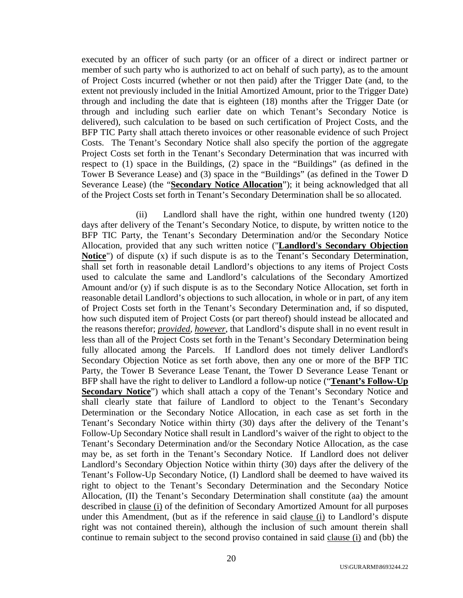executed by an officer of such party (or an officer of a direct or indirect partner or member of such party who is authorized to act on behalf of such party), as to the amount of Project Costs incurred (whether or not then paid) after the Trigger Date (and, to the extent not previously included in the Initial Amortized Amount, prior to the Trigger Date) through and including the date that is eighteen (18) months after the Trigger Date (or through and including such earlier date on which Tenant's Secondary Notice is delivered), such calculation to be based on such certification of Project Costs, and the BFP TIC Party shall attach thereto invoices or other reasonable evidence of such Project Costs. The Tenant's Secondary Notice shall also specify the portion of the aggregate Project Costs set forth in the Tenant's Secondary Determination that was incurred with respect to (1) space in the Buildings, (2) space in the "Buildings" (as defined in the Tower B Severance Lease) and (3) space in the "Buildings" (as defined in the Tower D Severance Lease) (the "**Secondary Notice Allocation**"); it being acknowledged that all of the Project Costs set forth in Tenant's Secondary Determination shall be so allocated.

(ii) Landlord shall have the right, within one hundred twenty (120) days after delivery of the Tenant's Secondary Notice, to dispute, by written notice to the BFP TIC Party, the Tenant's Secondary Determination and/or the Secondary Notice Allocation, provided that any such written notice ("**Landlord's Secondary Objection Notice**") of dispute (x) if such dispute is as to the Tenant's Secondary Determination, shall set forth in reasonable detail Landlord's objections to any items of Project Costs used to calculate the same and Landlord's calculations of the Secondary Amortized Amount and/or (y) if such dispute is as to the Secondary Notice Allocation, set forth in reasonable detail Landlord's objections to such allocation, in whole or in part, of any item of Project Costs set forth in the Tenant's Secondary Determination and, if so disputed, how such disputed item of Project Costs (or part thereof) should instead be allocated and the reasons therefor; *provided*, *however*, that Landlord's dispute shall in no event result in less than all of the Project Costs set forth in the Tenant's Secondary Determination being fully allocated among the Parcels. If Landlord does not timely deliver Landlord's Secondary Objection Notice as set forth above, then any one or more of the BFP TIC Party, the Tower B Severance Lease Tenant, the Tower D Severance Lease Tenant or BFP shall have the right to deliver to Landlord a follow-up notice ("**Tenant's Follow-Up Secondary Notice**") which shall attach a copy of the Tenant's Secondary Notice and shall clearly state that failure of Landlord to object to the Tenant's Secondary Determination or the Secondary Notice Allocation, in each case as set forth in the Tenant's Secondary Notice within thirty (30) days after the delivery of the Tenant's Follow-Up Secondary Notice shall result in Landlord's waiver of the right to object to the Tenant's Secondary Determination and/or the Secondary Notice Allocation, as the case may be, as set forth in the Tenant's Secondary Notice. If Landlord does not deliver Landlord's Secondary Objection Notice within thirty (30) days after the delivery of the Tenant's Follow-Up Secondary Notice, (I) Landlord shall be deemed to have waived its right to object to the Tenant's Secondary Determination and the Secondary Notice Allocation, (II) the Tenant's Secondary Determination shall constitute (aa) the amount described in clause (i) of the definition of Secondary Amortized Amount for all purposes under this Amendment, (but as if the reference in said clause (i) to Landlord's dispute right was not contained therein), although the inclusion of such amount therein shall continue to remain subject to the second proviso contained in said clause (i) and (bb) the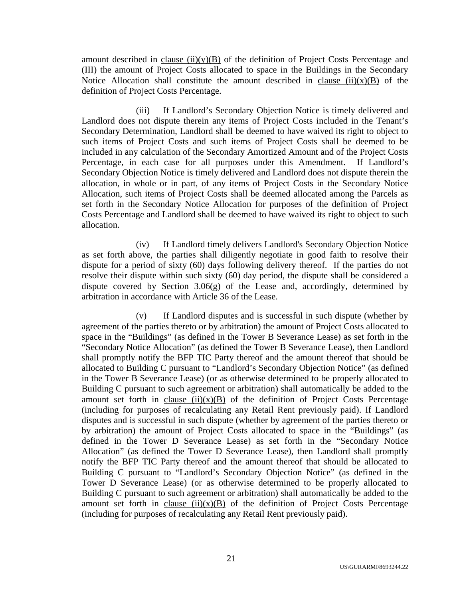amount described in clause  $(ii)(y)(B)$  of the definition of Project Costs Percentage and (III) the amount of Project Costs allocated to space in the Buildings in the Secondary Notice Allocation shall constitute the amount described in clause  $(ii)(x)(B)$  of the definition of Project Costs Percentage.

(iii) If Landlord's Secondary Objection Notice is timely delivered and Landlord does not dispute therein any items of Project Costs included in the Tenant's Secondary Determination, Landlord shall be deemed to have waived its right to object to such items of Project Costs and such items of Project Costs shall be deemed to be included in any calculation of the Secondary Amortized Amount and of the Project Costs Percentage, in each case for all purposes under this Amendment. If Landlord's Secondary Objection Notice is timely delivered and Landlord does not dispute therein the allocation, in whole or in part, of any items of Project Costs in the Secondary Notice Allocation, such items of Project Costs shall be deemed allocated among the Parcels as set forth in the Secondary Notice Allocation for purposes of the definition of Project Costs Percentage and Landlord shall be deemed to have waived its right to object to such allocation.

(iv) If Landlord timely delivers Landlord's Secondary Objection Notice as set forth above, the parties shall diligently negotiate in good faith to resolve their dispute for a period of sixty (60) days following delivery thereof. If the parties do not resolve their dispute within such sixty (60) day period, the dispute shall be considered a dispute covered by Section 3.06(g) of the Lease and, accordingly, determined by arbitration in accordance with Article 36 of the Lease.

(v) If Landlord disputes and is successful in such dispute (whether by agreement of the parties thereto or by arbitration) the amount of Project Costs allocated to space in the "Buildings" (as defined in the Tower B Severance Lease) as set forth in the "Secondary Notice Allocation" (as defined the Tower B Severance Lease), then Landlord shall promptly notify the BFP TIC Party thereof and the amount thereof that should be allocated to Building C pursuant to "Landlord's Secondary Objection Notice" (as defined in the Tower B Severance Lease) (or as otherwise determined to be properly allocated to Building C pursuant to such agreement or arbitration) shall automatically be added to the amount set forth in clause  $(ii)(x)(B)$  of the definition of Project Costs Percentage (including for purposes of recalculating any Retail Rent previously paid). If Landlord disputes and is successful in such dispute (whether by agreement of the parties thereto or by arbitration) the amount of Project Costs allocated to space in the "Buildings" (as defined in the Tower D Severance Lease) as set forth in the "Secondary Notice Allocation" (as defined the Tower D Severance Lease), then Landlord shall promptly notify the BFP TIC Party thereof and the amount thereof that should be allocated to Building C pursuant to "Landlord's Secondary Objection Notice" (as defined in the Tower D Severance Lease) (or as otherwise determined to be properly allocated to Building C pursuant to such agreement or arbitration) shall automatically be added to the amount set forth in clause  $(ii)(x)(B)$  of the definition of Project Costs Percentage (including for purposes of recalculating any Retail Rent previously paid).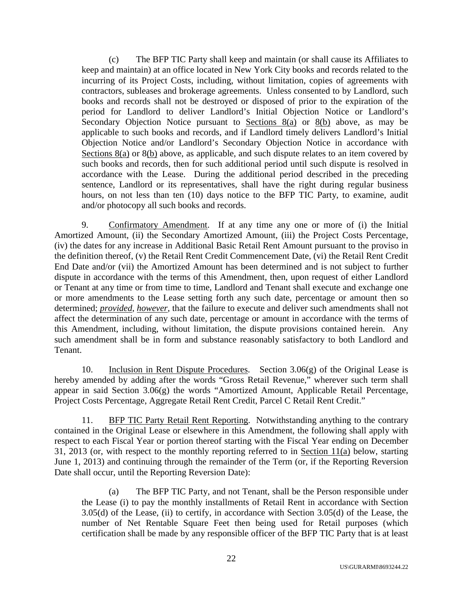(c) The BFP TIC Party shall keep and maintain (or shall cause its Affiliates to keep and maintain) at an office located in New York City books and records related to the incurring of its Project Costs, including, without limitation, copies of agreements with contractors, subleases and brokerage agreements. Unless consented to by Landlord, such books and records shall not be destroyed or disposed of prior to the expiration of the period for Landlord to deliver Landlord's Initial Objection Notice or Landlord's Secondary Objection Notice pursuant to Sections 8(a) or 8(b) above, as may be applicable to such books and records, and if Landlord timely delivers Landlord's Initial Objection Notice and/or Landlord's Secondary Objection Notice in accordance with Sections 8(a) or 8(b) above, as applicable, and such dispute relates to an item covered by such books and records, then for such additional period until such dispute is resolved in accordance with the Lease. During the additional period described in the preceding sentence, Landlord or its representatives, shall have the right during regular business hours, on not less than ten (10) days notice to the BFP TIC Party, to examine, audit and/or photocopy all such books and records.

9. Confirmatory Amendment. If at any time any one or more of (i) the Initial Amortized Amount, (ii) the Secondary Amortized Amount, (iii) the Project Costs Percentage, (iv) the dates for any increase in Additional Basic Retail Rent Amount pursuant to the proviso in the definition thereof, (v) the Retail Rent Credit Commencement Date, (vi) the Retail Rent Credit End Date and/or (vii) the Amortized Amount has been determined and is not subject to further dispute in accordance with the terms of this Amendment, then, upon request of either Landlord or Tenant at any time or from time to time, Landlord and Tenant shall execute and exchange one or more amendments to the Lease setting forth any such date, percentage or amount then so determined; *provided*, *however*, that the failure to execute and deliver such amendments shall not affect the determination of any such date, percentage or amount in accordance with the terms of this Amendment, including, without limitation, the dispute provisions contained herein. Any such amendment shall be in form and substance reasonably satisfactory to both Landlord and Tenant.

10. Inclusion in Rent Dispute Procedures. Section 3.06(g) of the Original Lease is hereby amended by adding after the words "Gross Retail Revenue," wherever such term shall appear in said Section 3.06(g) the words "Amortized Amount, Applicable Retail Percentage, Project Costs Percentage, Aggregate Retail Rent Credit, Parcel C Retail Rent Credit."

11. BFP TIC Party Retail Rent Reporting. Notwithstanding anything to the contrary contained in the Original Lease or elsewhere in this Amendment, the following shall apply with respect to each Fiscal Year or portion thereof starting with the Fiscal Year ending on December 31, 2013 (or, with respect to the monthly reporting referred to in Section 11(a) below, starting June 1, 2013) and continuing through the remainder of the Term (or, if the Reporting Reversion Date shall occur, until the Reporting Reversion Date):

(a) The BFP TIC Party, and not Tenant, shall be the Person responsible under the Lease (i) to pay the monthly installments of Retail Rent in accordance with Section 3.05(d) of the Lease, (ii) to certify, in accordance with Section 3.05(d) of the Lease, the number of Net Rentable Square Feet then being used for Retail purposes (which certification shall be made by any responsible officer of the BFP TIC Party that is at least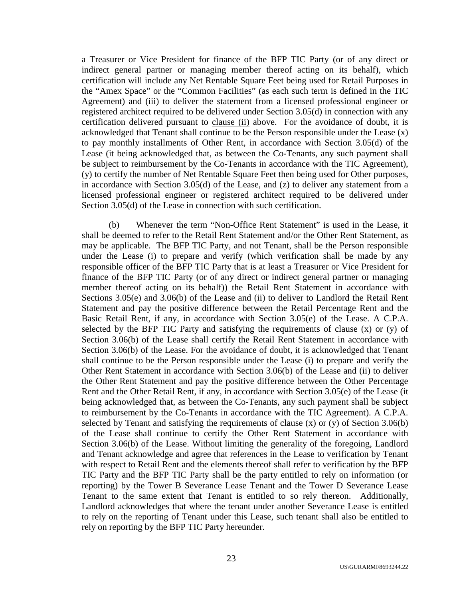a Treasurer or Vice President for finance of the BFP TIC Party (or of any direct or indirect general partner or managing member thereof acting on its behalf), which certification will include any Net Rentable Square Feet being used for Retail Purposes in the "Amex Space" or the "Common Facilities" (as each such term is defined in the TIC Agreement) and (iii) to deliver the statement from a licensed professional engineer or registered architect required to be delivered under Section 3.05(d) in connection with any certification delivered pursuant to clause (ii) above. For the avoidance of doubt, it is acknowledged that Tenant shall continue to be the Person responsible under the Lease (x) to pay monthly installments of Other Rent, in accordance with Section 3.05(d) of the Lease (it being acknowledged that, as between the Co-Tenants, any such payment shall be subject to reimbursement by the Co-Tenants in accordance with the TIC Agreement), (y) to certify the number of Net Rentable Square Feet then being used for Other purposes, in accordance with Section 3.05(d) of the Lease, and (z) to deliver any statement from a licensed professional engineer or registered architect required to be delivered under Section 3.05(d) of the Lease in connection with such certification.

(b) Whenever the term "Non-Office Rent Statement" is used in the Lease, it shall be deemed to refer to the Retail Rent Statement and/or the Other Rent Statement, as may be applicable. The BFP TIC Party, and not Tenant, shall be the Person responsible under the Lease (i) to prepare and verify (which verification shall be made by any responsible officer of the BFP TIC Party that is at least a Treasurer or Vice President for finance of the BFP TIC Party (or of any direct or indirect general partner or managing member thereof acting on its behalf)) the Retail Rent Statement in accordance with Sections 3.05(e) and 3.06(b) of the Lease and (ii) to deliver to Landlord the Retail Rent Statement and pay the positive difference between the Retail Percentage Rent and the Basic Retail Rent, if any, in accordance with Section 3.05(e) of the Lease. A C.P.A. selected by the BFP TIC Party and satisfying the requirements of clause  $(x)$  or  $(y)$  of Section 3.06(b) of the Lease shall certify the Retail Rent Statement in accordance with Section 3.06(b) of the Lease. For the avoidance of doubt, it is acknowledged that Tenant shall continue to be the Person responsible under the Lease (i) to prepare and verify the Other Rent Statement in accordance with Section 3.06(b) of the Lease and (ii) to deliver the Other Rent Statement and pay the positive difference between the Other Percentage Rent and the Other Retail Rent, if any, in accordance with Section 3.05(e) of the Lease (it being acknowledged that, as between the Co-Tenants, any such payment shall be subject to reimbursement by the Co-Tenants in accordance with the TIC Agreement). A C.P.A. selected by Tenant and satisfying the requirements of clause (x) or (y) of Section 3.06(b) of the Lease shall continue to certify the Other Rent Statement in accordance with Section 3.06(b) of the Lease. Without limiting the generality of the foregoing, Landlord and Tenant acknowledge and agree that references in the Lease to verification by Tenant with respect to Retail Rent and the elements thereof shall refer to verification by the BFP TIC Party and the BFP TIC Party shall be the party entitled to rely on information (or reporting) by the Tower B Severance Lease Tenant and the Tower D Severance Lease Tenant to the same extent that Tenant is entitled to so rely thereon. Additionally, Landlord acknowledges that where the tenant under another Severance Lease is entitled to rely on the reporting of Tenant under this Lease, such tenant shall also be entitled to rely on reporting by the BFP TIC Party hereunder.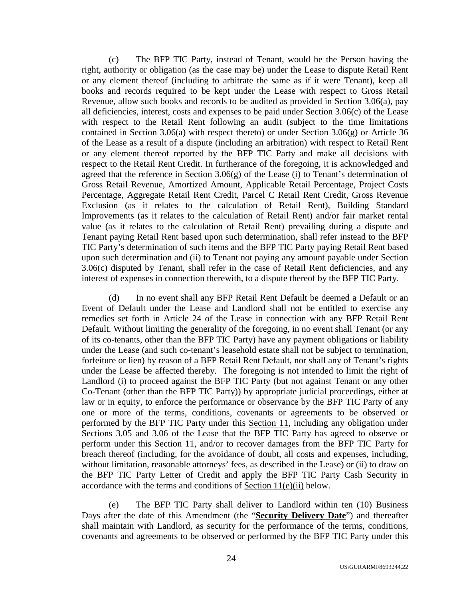(c) The BFP TIC Party, instead of Tenant, would be the Person having the right, authority or obligation (as the case may be) under the Lease to dispute Retail Rent or any element thereof (including to arbitrate the same as if it were Tenant), keep all books and records required to be kept under the Lease with respect to Gross Retail Revenue, allow such books and records to be audited as provided in Section 3.06(a), pay all deficiencies, interest, costs and expenses to be paid under Section 3.06(c) of the Lease with respect to the Retail Rent following an audit (subject to the time limitations contained in Section 3.06(a) with respect thereto) or under Section 3.06(g) or Article 36 of the Lease as a result of a dispute (including an arbitration) with respect to Retail Rent or any element thereof reported by the BFP TIC Party and make all decisions with respect to the Retail Rent Credit. In furtherance of the foregoing, it is acknowledged and agreed that the reference in Section 3.06(g) of the Lease (i) to Tenant's determination of Gross Retail Revenue, Amortized Amount, Applicable Retail Percentage, Project Costs Percentage, Aggregate Retail Rent Credit, Parcel C Retail Rent Credit, Gross Revenue Exclusion (as it relates to the calculation of Retail Rent), Building Standard Improvements (as it relates to the calculation of Retail Rent) and/or fair market rental value (as it relates to the calculation of Retail Rent) prevailing during a dispute and Tenant paying Retail Rent based upon such determination, shall refer instead to the BFP TIC Party's determination of such items and the BFP TIC Party paying Retail Rent based upon such determination and (ii) to Tenant not paying any amount payable under Section 3.06(c) disputed by Tenant, shall refer in the case of Retail Rent deficiencies, and any interest of expenses in connection therewith, to a dispute thereof by the BFP TIC Party.

(d) In no event shall any BFP Retail Rent Default be deemed a Default or an Event of Default under the Lease and Landlord shall not be entitled to exercise any remedies set forth in Article 24 of the Lease in connection with any BFP Retail Rent Default. Without limiting the generality of the foregoing, in no event shall Tenant (or any of its co-tenants, other than the BFP TIC Party) have any payment obligations or liability under the Lease (and such co-tenant's leasehold estate shall not be subject to termination, forfeiture or lien) by reason of a BFP Retail Rent Default, nor shall any of Tenant's rights under the Lease be affected thereby. The foregoing is not intended to limit the right of Landlord (i) to proceed against the BFP TIC Party (but not against Tenant or any other Co-Tenant (other than the BFP TIC Party)) by appropriate judicial proceedings, either at law or in equity, to enforce the performance or observance by the BFP TIC Party of any one or more of the terms, conditions, covenants or agreements to be observed or performed by the BFP TIC Party under this Section 11, including any obligation under Sections 3.05 and 3.06 of the Lease that the BFP TIC Party has agreed to observe or perform under this Section 11, and/or to recover damages from the BFP TIC Party for breach thereof (including, for the avoidance of doubt, all costs and expenses, including, without limitation, reasonable attorneys' fees, as described in the Lease) or (ii) to draw on the BFP TIC Party Letter of Credit and apply the BFP TIC Party Cash Security in accordance with the terms and conditions of Section 11(e)(ii) below.

(e) The BFP TIC Party shall deliver to Landlord within ten (10) Business Days after the date of this Amendment (the "**Security Delivery Date**") and thereafter shall maintain with Landlord, as security for the performance of the terms, conditions, covenants and agreements to be observed or performed by the BFP TIC Party under this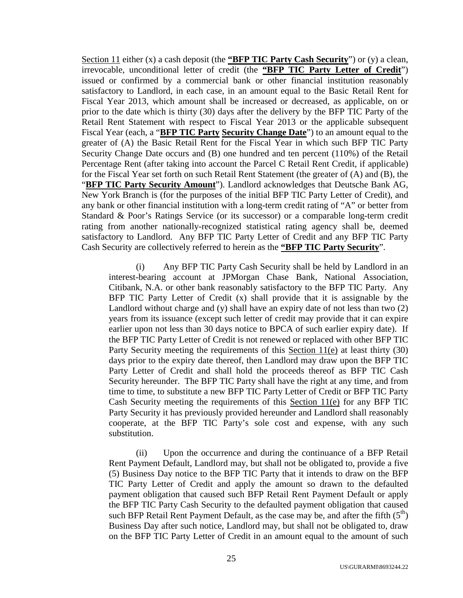Section 11 either (x) a cash deposit (the **"BFP TIC Party Cash Security**") or (y) a clean, irrevocable, unconditional letter of credit (the **"BFP TIC Party Letter of Credit**") issued or confirmed by a commercial bank or other financial institution reasonably satisfactory to Landlord, in each case, in an amount equal to the Basic Retail Rent for Fiscal Year 2013, which amount shall be increased or decreased, as applicable, on or prior to the date which is thirty (30) days after the delivery by the BFP TIC Party of the Retail Rent Statement with respect to Fiscal Year 2013 or the applicable subsequent Fiscal Year (each, a "**BFP TIC Party Security Change Date**") to an amount equal to the greater of (A) the Basic Retail Rent for the Fiscal Year in which such BFP TIC Party Security Change Date occurs and (B) one hundred and ten percent (110%) of the Retail Percentage Rent (after taking into account the Parcel C Retail Rent Credit, if applicable) for the Fiscal Year set forth on such Retail Rent Statement (the greater of (A) and (B), the "**BFP TIC Party Security Amount**"). Landlord acknowledges that Deutsche Bank AG, New York Branch is (for the purposes of the initial BFP TIC Party Letter of Credit), and any bank or other financial institution with a long-term credit rating of "A" or better from Standard & Poor's Ratings Service (or its successor) or a comparable long-term credit rating from another nationally-recognized statistical rating agency shall be, deemed satisfactory to Landlord. Any BFP TIC Party Letter of Credit and any BFP TIC Party Cash Security are collectively referred to herein as the **"BFP TIC Party Security**".

(i) Any BFP TIC Party Cash Security shall be held by Landlord in an interest-bearing account at JPMorgan Chase Bank, National Association, Citibank, N.A. or other bank reasonably satisfactory to the BFP TIC Party. Any BFP TIC Party Letter of Credit (x) shall provide that it is assignable by the Landlord without charge and (y) shall have an expiry date of not less than two (2) years from its issuance (except such letter of credit may provide that it can expire earlier upon not less than 30 days notice to BPCA of such earlier expiry date). If the BFP TIC Party Letter of Credit is not renewed or replaced with other BFP TIC Party Security meeting the requirements of this Section 11(e) at least thirty (30) days prior to the expiry date thereof, then Landlord may draw upon the BFP TIC Party Letter of Credit and shall hold the proceeds thereof as BFP TIC Cash Security hereunder. The BFP TIC Party shall have the right at any time, and from time to time, to substitute a new BFP TIC Party Letter of Credit or BFP TIC Party Cash Security meeting the requirements of this Section 11(e) for any BFP TIC Party Security it has previously provided hereunder and Landlord shall reasonably cooperate, at the BFP TIC Party's sole cost and expense, with any such substitution.

(ii) Upon the occurrence and during the continuance of a BFP Retail Rent Payment Default, Landlord may, but shall not be obligated to, provide a five (5) Business Day notice to the BFP TIC Party that it intends to draw on the BFP TIC Party Letter of Credit and apply the amount so drawn to the defaulted payment obligation that caused such BFP Retail Rent Payment Default or apply the BFP TIC Party Cash Security to the defaulted payment obligation that caused such BFP Retail Rent Payment Default, as the case may be, and after the fifth  $(5<sup>th</sup>)$ Business Day after such notice, Landlord may, but shall not be obligated to, draw on the BFP TIC Party Letter of Credit in an amount equal to the amount of such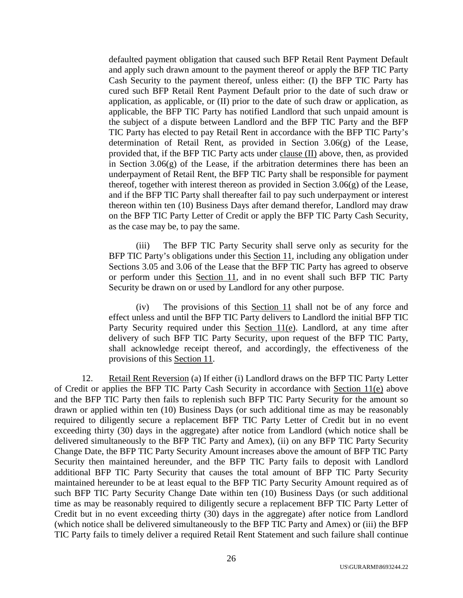defaulted payment obligation that caused such BFP Retail Rent Payment Default and apply such drawn amount to the payment thereof or apply the BFP TIC Party Cash Security to the payment thereof, unless either: (I) the BFP TIC Party has cured such BFP Retail Rent Payment Default prior to the date of such draw or application, as applicable, or (II) prior to the date of such draw or application, as applicable, the BFP TIC Party has notified Landlord that such unpaid amount is the subject of a dispute between Landlord and the BFP TIC Party and the BFP TIC Party has elected to pay Retail Rent in accordance with the BFP TIC Party's determination of Retail Rent, as provided in Section 3.06(g) of the Lease, provided that, if the BFP TIC Party acts under clause (II) above, then, as provided in Section 3.06(g) of the Lease, if the arbitration determines there has been an underpayment of Retail Rent, the BFP TIC Party shall be responsible for payment thereof, together with interest thereon as provided in Section 3.06(g) of the Lease, and if the BFP TIC Party shall thereafter fail to pay such underpayment or interest thereon within ten (10) Business Days after demand therefor, Landlord may draw on the BFP TIC Party Letter of Credit or apply the BFP TIC Party Cash Security, as the case may be, to pay the same.

(iii) The BFP TIC Party Security shall serve only as security for the BFP TIC Party's obligations under this Section 11, including any obligation under Sections 3.05 and 3.06 of the Lease that the BFP TIC Party has agreed to observe or perform under this Section 11, and in no event shall such BFP TIC Party Security be drawn on or used by Landlord for any other purpose.

(iv) The provisions of this Section 11 shall not be of any force and effect unless and until the BFP TIC Party delivers to Landlord the initial BFP TIC Party Security required under this Section 11(e). Landlord, at any time after delivery of such BFP TIC Party Security, upon request of the BFP TIC Party, shall acknowledge receipt thereof, and accordingly, the effectiveness of the provisions of this Section 11.

12. Retail Rent Reversion (a) If either (i) Landlord draws on the BFP TIC Party Letter of Credit or applies the BFP TIC Party Cash Security in accordance with Section 11(e) above and the BFP TIC Party then fails to replenish such BFP TIC Party Security for the amount so drawn or applied within ten (10) Business Days (or such additional time as may be reasonably required to diligently secure a replacement BFP TIC Party Letter of Credit but in no event exceeding thirty (30) days in the aggregate) after notice from Landlord (which notice shall be delivered simultaneously to the BFP TIC Party and Amex), (ii) on any BFP TIC Party Security Change Date, the BFP TIC Party Security Amount increases above the amount of BFP TIC Party Security then maintained hereunder, and the BFP TIC Party fails to deposit with Landlord additional BFP TIC Party Security that causes the total amount of BFP TIC Party Security maintained hereunder to be at least equal to the BFP TIC Party Security Amount required as of such BFP TIC Party Security Change Date within ten (10) Business Days (or such additional time as may be reasonably required to diligently secure a replacement BFP TIC Party Letter of Credit but in no event exceeding thirty (30) days in the aggregate) after notice from Landlord (which notice shall be delivered simultaneously to the BFP TIC Party and Amex) or (iii) the BFP TIC Party fails to timely deliver a required Retail Rent Statement and such failure shall continue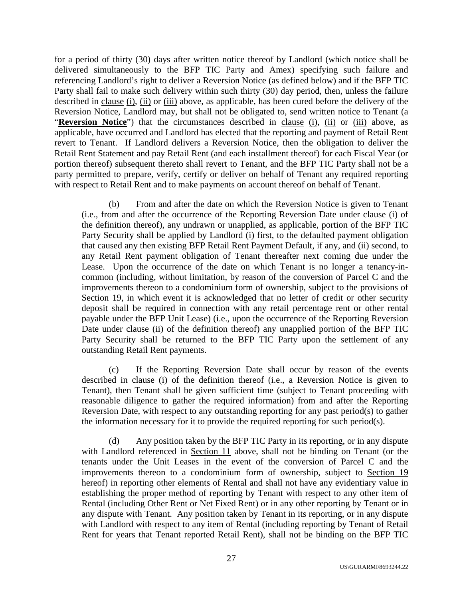for a period of thirty (30) days after written notice thereof by Landlord (which notice shall be delivered simultaneously to the BFP TIC Party and Amex) specifying such failure and referencing Landlord's right to deliver a Reversion Notice (as defined below) and if the BFP TIC Party shall fail to make such delivery within such thirty (30) day period, then, unless the failure described in clause (i), (ii) or (iii) above, as applicable, has been cured before the delivery of the Reversion Notice, Landlord may, but shall not be obligated to, send written notice to Tenant (a "**Reversion Notice**") that the circumstances described in clause (i), (ii) or (iii) above, as applicable, have occurred and Landlord has elected that the reporting and payment of Retail Rent revert to Tenant. If Landlord delivers a Reversion Notice, then the obligation to deliver the Retail Rent Statement and pay Retail Rent (and each installment thereof) for each Fiscal Year (or portion thereof) subsequent thereto shall revert to Tenant, and the BFP TIC Party shall not be a party permitted to prepare, verify, certify or deliver on behalf of Tenant any required reporting with respect to Retail Rent and to make payments on account thereof on behalf of Tenant.

(b) From and after the date on which the Reversion Notice is given to Tenant (i.e., from and after the occurrence of the Reporting Reversion Date under clause (i) of the definition thereof), any undrawn or unapplied, as applicable, portion of the BFP TIC Party Security shall be applied by Landlord (i) first, to the defaulted payment obligation that caused any then existing BFP Retail Rent Payment Default, if any, and (ii) second, to any Retail Rent payment obligation of Tenant thereafter next coming due under the Lease. Upon the occurrence of the date on which Tenant is no longer a tenancy-incommon (including, without limitation, by reason of the conversion of Parcel C and the improvements thereon to a condominium form of ownership, subject to the provisions of Section 19, in which event it is acknowledged that no letter of credit or other security deposit shall be required in connection with any retail percentage rent or other rental payable under the BFP Unit Lease) (i.e., upon the occurrence of the Reporting Reversion Date under clause (ii) of the definition thereof) any unapplied portion of the BFP TIC Party Security shall be returned to the BFP TIC Party upon the settlement of any outstanding Retail Rent payments.

(c) If the Reporting Reversion Date shall occur by reason of the events described in clause (i) of the definition thereof (i.e., a Reversion Notice is given to Tenant), then Tenant shall be given sufficient time (subject to Tenant proceeding with reasonable diligence to gather the required information) from and after the Reporting Reversion Date, with respect to any outstanding reporting for any past period(s) to gather the information necessary for it to provide the required reporting for such period(s).

(d) Any position taken by the BFP TIC Party in its reporting, or in any dispute with Landlord referenced in Section 11 above, shall not be binding on Tenant (or the tenants under the Unit Leases in the event of the conversion of Parcel C and the improvements thereon to a condominium form of ownership, subject to Section 19 hereof) in reporting other elements of Rental and shall not have any evidentiary value in establishing the proper method of reporting by Tenant with respect to any other item of Rental (including Other Rent or Net Fixed Rent) or in any other reporting by Tenant or in any dispute with Tenant. Any position taken by Tenant in its reporting, or in any dispute with Landlord with respect to any item of Rental (including reporting by Tenant of Retail Rent for years that Tenant reported Retail Rent), shall not be binding on the BFP TIC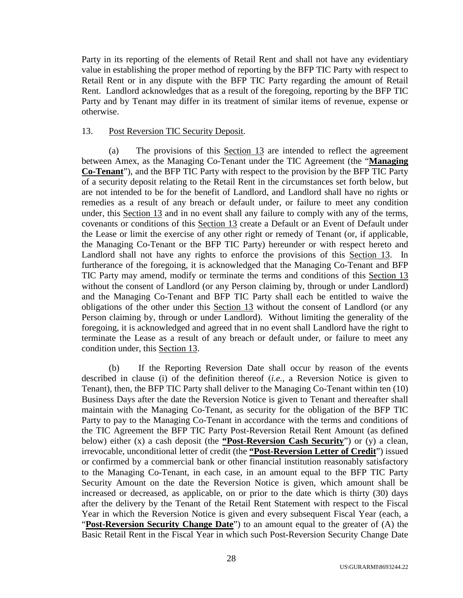Party in its reporting of the elements of Retail Rent and shall not have any evidentiary value in establishing the proper method of reporting by the BFP TIC Party with respect to Retail Rent or in any dispute with the BFP TIC Party regarding the amount of Retail Rent. Landlord acknowledges that as a result of the foregoing, reporting by the BFP TIC Party and by Tenant may differ in its treatment of similar items of revenue, expense or otherwise.

## 13. Post Reversion TIC Security Deposit.

(a) The provisions of this Section 13 are intended to reflect the agreement between Amex, as the Managing Co-Tenant under the TIC Agreement (the "**Managing Co-Tenant**"), and the BFP TIC Party with respect to the provision by the BFP TIC Party of a security deposit relating to the Retail Rent in the circumstances set forth below, but are not intended to be for the benefit of Landlord, and Landlord shall have no rights or remedies as a result of any breach or default under, or failure to meet any condition under, this Section 13 and in no event shall any failure to comply with any of the terms, covenants or conditions of this Section 13 create a Default or an Event of Default under the Lease or limit the exercise of any other right or remedy of Tenant (or, if applicable, the Managing Co-Tenant or the BFP TIC Party) hereunder or with respect hereto and Landlord shall not have any rights to enforce the provisions of this Section 13. In furtherance of the foregoing, it is acknowledged that the Managing Co-Tenant and BFP TIC Party may amend, modify or terminate the terms and conditions of this Section 13 without the consent of Landlord (or any Person claiming by, through or under Landlord) and the Managing Co-Tenant and BFP TIC Party shall each be entitled to waive the obligations of the other under this Section 13 without the consent of Landlord (or any Person claiming by, through or under Landlord). Without limiting the generality of the foregoing, it is acknowledged and agreed that in no event shall Landlord have the right to terminate the Lease as a result of any breach or default under, or failure to meet any condition under, this Section 13.

(b) If the Reporting Reversion Date shall occur by reason of the events described in clause (i) of the definition thereof (*i.e.*, a Reversion Notice is given to Tenant), then, the BFP TIC Party shall deliver to the Managing Co-Tenant within ten (10) Business Days after the date the Reversion Notice is given to Tenant and thereafter shall maintain with the Managing Co-Tenant, as security for the obligation of the BFP TIC Party to pay to the Managing Co-Tenant in accordance with the terms and conditions of the TIC Agreement the BFP TIC Party Post-Reversion Retail Rent Amount (as defined below) either (x) a cash deposit (the **"Post-Reversion Cash Security**") or (y) a clean, irrevocable, unconditional letter of credit (the **"Post-Reversion Letter of Credit**") issued or confirmed by a commercial bank or other financial institution reasonably satisfactory to the Managing Co-Tenant, in each case, in an amount equal to the BFP TIC Party Security Amount on the date the Reversion Notice is given, which amount shall be increased or decreased, as applicable, on or prior to the date which is thirty (30) days after the delivery by the Tenant of the Retail Rent Statement with respect to the Fiscal Year in which the Reversion Notice is given and every subsequent Fiscal Year (each, a "**Post-Reversion Security Change Date**") to an amount equal to the greater of (A) the Basic Retail Rent in the Fiscal Year in which such Post-Reversion Security Change Date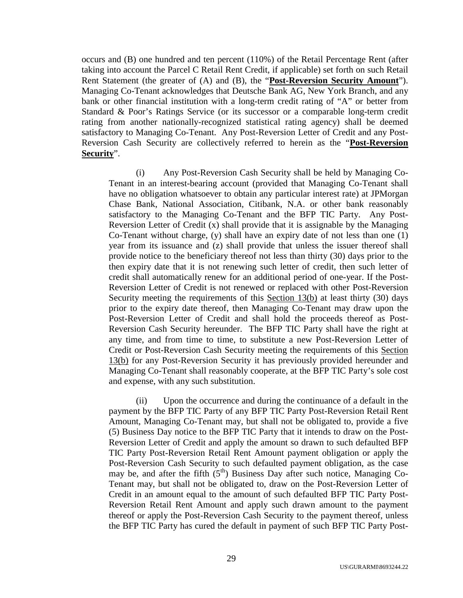occurs and (B) one hundred and ten percent (110%) of the Retail Percentage Rent (after taking into account the Parcel C Retail Rent Credit, if applicable) set forth on such Retail Rent Statement (the greater of (A) and (B), the "**Post-Reversion Security Amount**"). Managing Co-Tenant acknowledges that Deutsche Bank AG, New York Branch, and any bank or other financial institution with a long-term credit rating of "A" or better from Standard & Poor's Ratings Service (or its successor or a comparable long-term credit rating from another nationally-recognized statistical rating agency) shall be deemed satisfactory to Managing Co-Tenant. Any Post-Reversion Letter of Credit and any Post-Reversion Cash Security are collectively referred to herein as the "**Post-Reversion Security**".

(i) Any Post-Reversion Cash Security shall be held by Managing Co-Tenant in an interest-bearing account (provided that Managing Co-Tenant shall have no obligation whatsoever to obtain any particular interest rate) at JPMorgan Chase Bank, National Association, Citibank, N.A. or other bank reasonably satisfactory to the Managing Co-Tenant and the BFP TIC Party. Any Post-Reversion Letter of Credit (x) shall provide that it is assignable by the Managing Co-Tenant without charge,  $(y)$  shall have an expiry date of not less than one  $(1)$ year from its issuance and (z) shall provide that unless the issuer thereof shall provide notice to the beneficiary thereof not less than thirty (30) days prior to the then expiry date that it is not renewing such letter of credit, then such letter of credit shall automatically renew for an additional period of one-year. If the Post-Reversion Letter of Credit is not renewed or replaced with other Post-Reversion Security meeting the requirements of this Section 13(b) at least thirty (30) days prior to the expiry date thereof, then Managing Co-Tenant may draw upon the Post-Reversion Letter of Credit and shall hold the proceeds thereof as Post-Reversion Cash Security hereunder. The BFP TIC Party shall have the right at any time, and from time to time, to substitute a new Post-Reversion Letter of Credit or Post-Reversion Cash Security meeting the requirements of this Section 13(b) for any Post-Reversion Security it has previously provided hereunder and Managing Co-Tenant shall reasonably cooperate, at the BFP TIC Party's sole cost and expense, with any such substitution.

(ii) Upon the occurrence and during the continuance of a default in the payment by the BFP TIC Party of any BFP TIC Party Post-Reversion Retail Rent Amount, Managing Co-Tenant may, but shall not be obligated to, provide a five (5) Business Day notice to the BFP TIC Party that it intends to draw on the Post-Reversion Letter of Credit and apply the amount so drawn to such defaulted BFP TIC Party Post-Reversion Retail Rent Amount payment obligation or apply the Post-Reversion Cash Security to such defaulted payment obligation, as the case may be, and after the fifth  $(5<sup>th</sup>)$  Business Day after such notice, Managing Co-Tenant may, but shall not be obligated to, draw on the Post-Reversion Letter of Credit in an amount equal to the amount of such defaulted BFP TIC Party Post-Reversion Retail Rent Amount and apply such drawn amount to the payment thereof or apply the Post-Reversion Cash Security to the payment thereof, unless the BFP TIC Party has cured the default in payment of such BFP TIC Party Post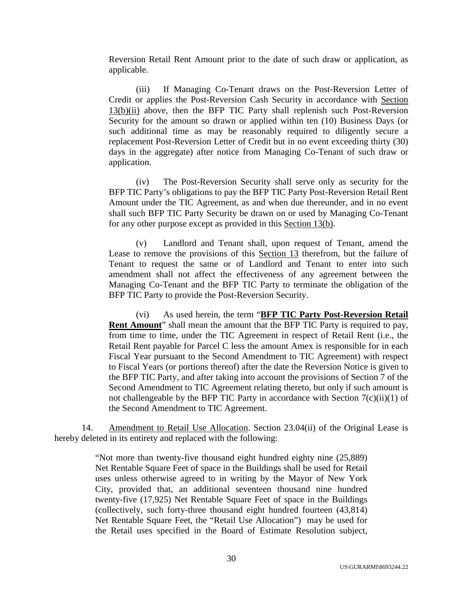Reversion Retail Rent Amount prior to the date of such draw or application, as applicable.

(iii) If Managing Co-Tenant draws on the Post-Reversion Letter of Credit or applies the Post-Reversion Cash Security in accordance with Section 13(b)(ii) above, then the BFP TIC Party shall replenish such Post-Reversion Security for the amount so drawn or applied within ten (10) Business Days (or such additional time as may be reasonably required to diligently secure a replacement Post-Reversion Letter of Credit but in no event exceeding thirty (30) days in the aggregate) after notice from Managing Co-Tenant of such draw or application.

(iv) The Post-Reversion Security shall serve only as security for the BFP TIC Party's obligations to pay the BFP TIC Party Post-Reversion Retail Rent Amount under the TIC Agreement, as and when due thereunder, and in no event shall such BFP TIC Party Security be drawn on or used by Managing Co-Tenant for any other purpose except as provided in this Section 13(b).

(v) Landlord and Tenant shall, upon request of Tenant, amend the Lease to remove the provisions of this Section 13 therefrom, but the failure of Tenant to request the same or of Landlord and Tenant to enter into such amendment shall not affect the effectiveness of any agreement between the Managing Co-Tenant and the BFP TIC Party to terminate the obligation of the BFP TIC Party to provide the Post-Reversion Security.

(vi) As used herein, the term "**BFP TIC Party Post-Reversion Retail Rent Amount**" shall mean the amount that the BFP TIC Party is required to pay, from time to time, under the TIC Agreement in respect of Retail Rent (i.e., the Retail Rent payable for Parcel C less the amount Amex is responsible for in each Fiscal Year pursuant to the Second Amendment to TIC Agreement) with respect to Fiscal Years (or portions thereof) after the date the Reversion Notice is given to the BFP TIC Party, and after taking into account the provisions of Section 7 of the Second Amendment to TIC Agreement relating thereto, but only if such amount is not challengeable by the BFP TIC Party in accordance with Section  $7(c)(ii)(1)$  of the Second Amendment to TIC Agreement.

14. Amendment to Retail Use Allocation. Section 23.04(ii) of the Original Lease is hereby deleted in its entirety and replaced with the following:

> "Not more than twenty-five thousand eight hundred eighty nine (25,889) Net Rentable Square Feet of space in the Buildings shall be used for Retail uses unless otherwise agreed to in writing by the Mayor of New York City, provided that, an additional seventeen thousand nine hundred twenty-five (17,925) Net Rentable Square Feet of space in the Buildings (collectively, such forty-three thousand eight hundred fourteen (43,814) Net Rentable Square Feet, the "Retail Use Allocation") may be used for the Retail uses specified in the Board of Estimate Resolution subject,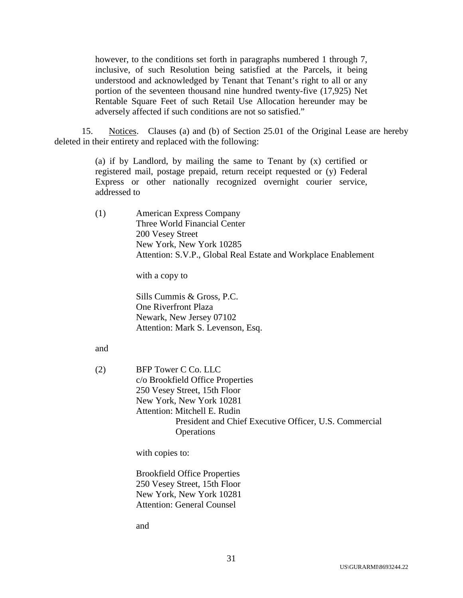however, to the conditions set forth in paragraphs numbered 1 through 7, inclusive, of such Resolution being satisfied at the Parcels, it being understood and acknowledged by Tenant that Tenant's right to all or any portion of the seventeen thousand nine hundred twenty-five (17,925) Net Rentable Square Feet of such Retail Use Allocation hereunder may be adversely affected if such conditions are not so satisfied."

15. Notices. Clauses (a) and (b) of Section 25.01 of the Original Lease are hereby deleted in their entirety and replaced with the following:

> (a) if by Landlord, by mailing the same to Tenant by (x) certified or registered mail, postage prepaid, return receipt requested or (y) Federal Express or other nationally recognized overnight courier service, addressed to

(1) American Express Company Three World Financial Center 200 Vesey Street New York, New York 10285 Attention: S.V.P., Global Real Estate and Workplace Enablement

with a copy to

Sills Cummis & Gross, P.C. One Riverfront Plaza Newark, New Jersey 07102 Attention: Mark S. Levenson, Esq.

# and

(2) BFP Tower C Co. LLC c/o Brookfield Office Properties 250 Vesey Street, 15th Floor New York, New York 10281 Attention: Mitchell E. Rudin President and Chief Executive Officer, U.S. Commercial **Operations** 

with copies to:

Brookfield Office Properties 250 Vesey Street, 15th Floor New York, New York 10281 Attention: General Counsel

and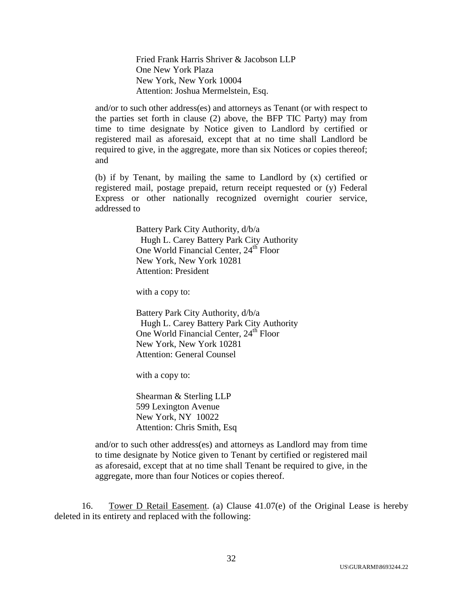Fried Frank Harris Shriver & Jacobson LLP One New York Plaza New York, New York 10004 Attention: Joshua Mermelstein, Esq.

and/or to such other address(es) and attorneys as Tenant (or with respect to the parties set forth in clause (2) above, the BFP TIC Party) may from time to time designate by Notice given to Landlord by certified or registered mail as aforesaid, except that at no time shall Landlord be required to give, in the aggregate, more than six Notices or copies thereof; and

(b) if by Tenant, by mailing the same to Landlord by (x) certified or registered mail, postage prepaid, return receipt requested or (y) Federal Express or other nationally recognized overnight courier service, addressed to

> Battery Park City Authority, d/b/a Hugh L. Carey Battery Park City Authority One World Financial Center, 24<sup>th</sup> Floor New York, New York 10281 Attention: President

with a copy to:

Battery Park City Authority, d/b/a Hugh L. Carey Battery Park City Authority One World Financial Center, 24<sup>th</sup> Floor New York, New York 10281 Attention: General Counsel

with a copy to:

Shearman & Sterling LLP 599 Lexington Avenue New York, NY 10022 Attention: Chris Smith, Esq

and/or to such other address(es) and attorneys as Landlord may from time to time designate by Notice given to Tenant by certified or registered mail as aforesaid, except that at no time shall Tenant be required to give, in the aggregate, more than four Notices or copies thereof.

16. Tower D Retail Easement. (a) Clause 41.07(e) of the Original Lease is hereby deleted in its entirety and replaced with the following: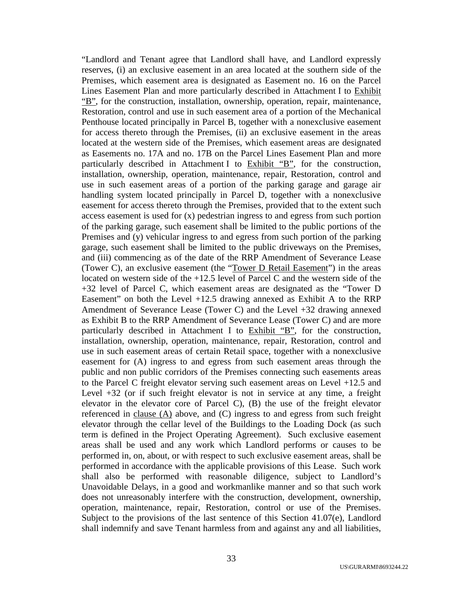"Landlord and Tenant agree that Landlord shall have, and Landlord expressly reserves, (i) an exclusive easement in an area located at the southern side of the Premises, which easement area is designated as Easement no. 16 on the Parcel Lines Easement Plan and more particularly described in Attachment I to Exhibit "B", for the construction, installation, ownership, operation, repair, maintenance, Restoration, control and use in such easement area of a portion of the Mechanical Penthouse located principally in Parcel B, together with a nonexclusive easement for access thereto through the Premises, (ii) an exclusive easement in the areas located at the western side of the Premises, which easement areas are designated as Easements no. 17A and no. 17B on the Parcel Lines Easement Plan and more particularly described in Attachment I to Exhibit "B", for the construction, installation, ownership, operation, maintenance, repair, Restoration, control and use in such easement areas of a portion of the parking garage and garage air handling system located principally in Parcel D, together with a nonexclusive easement for access thereto through the Premises, provided that to the extent such access easement is used for (x) pedestrian ingress to and egress from such portion of the parking garage, such easement shall be limited to the public portions of the Premises and (y) vehicular ingress to and egress from such portion of the parking garage, such easement shall be limited to the public driveways on the Premises, and (iii) commencing as of the date of the RRP Amendment of Severance Lease (Tower C), an exclusive easement (the "Tower D Retail Easement") in the areas located on western side of the +12.5 level of Parcel C and the western side of the +32 level of Parcel C, which easement areas are designated as the "Tower D Easement" on both the Level  $+12.5$  drawing annexed as Exhibit A to the RRP Amendment of Severance Lease (Tower C) and the Level +32 drawing annexed as Exhibit B to the RRP Amendment of Severance Lease (Tower C) and are more particularly described in Attachment I to Exhibit "B", for the construction, installation, ownership, operation, maintenance, repair, Restoration, control and use in such easement areas of certain Retail space, together with a nonexclusive easement for (A) ingress to and egress from such easement areas through the public and non public corridors of the Premises connecting such easements areas to the Parcel C freight elevator serving such easement areas on Level +12.5 and Level +32 (or if such freight elevator is not in service at any time, a freight elevator in the elevator core of Parcel C), (B) the use of the freight elevator referenced in clause (A) above, and (C) ingress to and egress from such freight elevator through the cellar level of the Buildings to the Loading Dock (as such term is defined in the Project Operating Agreement). Such exclusive easement areas shall be used and any work which Landlord performs or causes to be performed in, on, about, or with respect to such exclusive easement areas, shall be performed in accordance with the applicable provisions of this Lease. Such work shall also be performed with reasonable diligence, subject to Landlord's Unavoidable Delays, in a good and workmanlike manner and so that such work does not unreasonably interfere with the construction, development, ownership, operation, maintenance, repair, Restoration, control or use of the Premises. Subject to the provisions of the last sentence of this Section 41.07(e), Landlord shall indemnify and save Tenant harmless from and against any and all liabilities,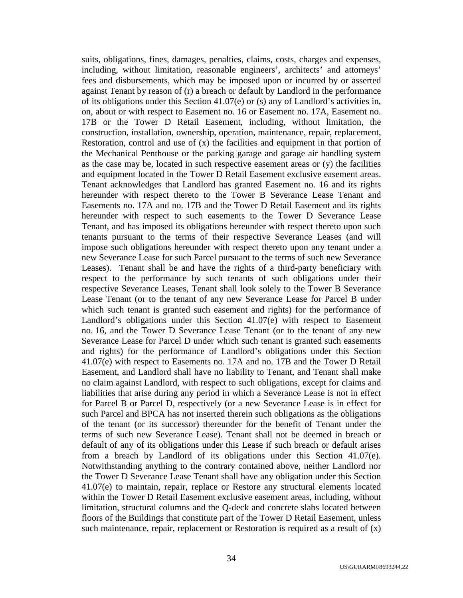suits, obligations, fines, damages, penalties, claims, costs, charges and expenses, including, without limitation, reasonable engineers', architects' and attorneys' fees and disbursements, which may be imposed upon or incurred by or asserted against Tenant by reason of (r) a breach or default by Landlord in the performance of its obligations under this Section 41.07(e) or (s) any of Landlord's activities in, on, about or with respect to Easement no. 16 or Easement no. 17A, Easement no. 17B or the Tower D Retail Easement, including, without limitation, the construction, installation, ownership, operation, maintenance, repair, replacement, Restoration, control and use of  $(x)$  the facilities and equipment in that portion of the Mechanical Penthouse or the parking garage and garage air handling system as the case may be, located in such respective easement areas or (y) the facilities and equipment located in the Tower D Retail Easement exclusive easement areas. Tenant acknowledges that Landlord has granted Easement no. 16 and its rights hereunder with respect thereto to the Tower B Severance Lease Tenant and Easements no. 17A and no. 17B and the Tower D Retail Easement and its rights hereunder with respect to such easements to the Tower D Severance Lease Tenant, and has imposed its obligations hereunder with respect thereto upon such tenants pursuant to the terms of their respective Severance Leases (and will impose such obligations hereunder with respect thereto upon any tenant under a new Severance Lease for such Parcel pursuant to the terms of such new Severance Leases). Tenant shall be and have the rights of a third-party beneficiary with respect to the performance by such tenants of such obligations under their respective Severance Leases, Tenant shall look solely to the Tower B Severance Lease Tenant (or to the tenant of any new Severance Lease for Parcel B under which such tenant is granted such easement and rights) for the performance of Landlord's obligations under this Section 41.07(e) with respect to Easement no. 16, and the Tower D Severance Lease Tenant (or to the tenant of any new Severance Lease for Parcel D under which such tenant is granted such easements and rights) for the performance of Landlord's obligations under this Section 41.07(e) with respect to Easements no. 17A and no. 17B and the Tower D Retail Easement, and Landlord shall have no liability to Tenant, and Tenant shall make no claim against Landlord, with respect to such obligations, except for claims and liabilities that arise during any period in which a Severance Lease is not in effect for Parcel B or Parcel D, respectively (or a new Severance Lease is in effect for such Parcel and BPCA has not inserted therein such obligations as the obligations of the tenant (or its successor) thereunder for the benefit of Tenant under the terms of such new Severance Lease). Tenant shall not be deemed in breach or default of any of its obligations under this Lease if such breach or default arises from a breach by Landlord of its obligations under this Section  $41.07(e)$ . Notwithstanding anything to the contrary contained above, neither Landlord nor the Tower D Severance Lease Tenant shall have any obligation under this Section 41.07(e) to maintain, repair, replace or Restore any structural elements located within the Tower D Retail Easement exclusive easement areas, including, without limitation, structural columns and the Q-deck and concrete slabs located between floors of the Buildings that constitute part of the Tower D Retail Easement, unless such maintenance, repair, replacement or Restoration is required as a result of  $(x)$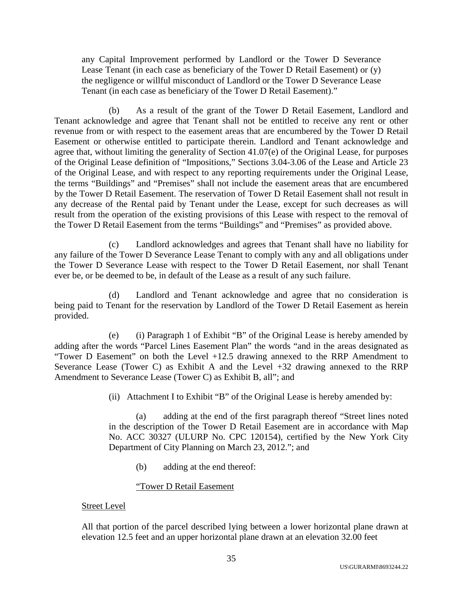any Capital Improvement performed by Landlord or the Tower D Severance Lease Tenant (in each case as beneficiary of the Tower D Retail Easement) or (y) the negligence or willful misconduct of Landlord or the Tower D Severance Lease Tenant (in each case as beneficiary of the Tower D Retail Easement)."

(b) As a result of the grant of the Tower D Retail Easement, Landlord and Tenant acknowledge and agree that Tenant shall not be entitled to receive any rent or other revenue from or with respect to the easement areas that are encumbered by the Tower D Retail Easement or otherwise entitled to participate therein. Landlord and Tenant acknowledge and agree that, without limiting the generality of Section 41.07(e) of the Original Lease, for purposes of the Original Lease definition of "Impositions," Sections 3.04-3.06 of the Lease and Article 23 of the Original Lease, and with respect to any reporting requirements under the Original Lease, the terms "Buildings" and "Premises" shall not include the easement areas that are encumbered by the Tower D Retail Easement. The reservation of Tower D Retail Easement shall not result in any decrease of the Rental paid by Tenant under the Lease, except for such decreases as will result from the operation of the existing provisions of this Lease with respect to the removal of the Tower D Retail Easement from the terms "Buildings" and "Premises" as provided above.

(c) Landlord acknowledges and agrees that Tenant shall have no liability for any failure of the Tower D Severance Lease Tenant to comply with any and all obligations under the Tower D Severance Lease with respect to the Tower D Retail Easement, nor shall Tenant ever be, or be deemed to be, in default of the Lease as a result of any such failure.

(d) Landlord and Tenant acknowledge and agree that no consideration is being paid to Tenant for the reservation by Landlord of the Tower D Retail Easement as herein provided.

(e) (i) Paragraph 1 of Exhibit "B" of the Original Lease is hereby amended by adding after the words "Parcel Lines Easement Plan" the words "and in the areas designated as "Tower D Easement" on both the Level +12.5 drawing annexed to the RRP Amendment to Severance Lease (Tower C) as Exhibit A and the Level +32 drawing annexed to the RRP Amendment to Severance Lease (Tower C) as Exhibit B, all"; and

(ii) Attachment I to Exhibit "B" of the Original Lease is hereby amended by:

(a) adding at the end of the first paragraph thereof "Street lines noted in the description of the Tower D Retail Easement are in accordance with Map No. ACC 30327 (ULURP No. CPC 120154), certified by the New York City Department of City Planning on March 23, 2012."; and

(b) adding at the end thereof:

# "Tower D Retail Easement

# Street Level

All that portion of the parcel described lying between a lower horizontal plane drawn at elevation 12.5 feet and an upper horizontal plane drawn at an elevation 32.00 feet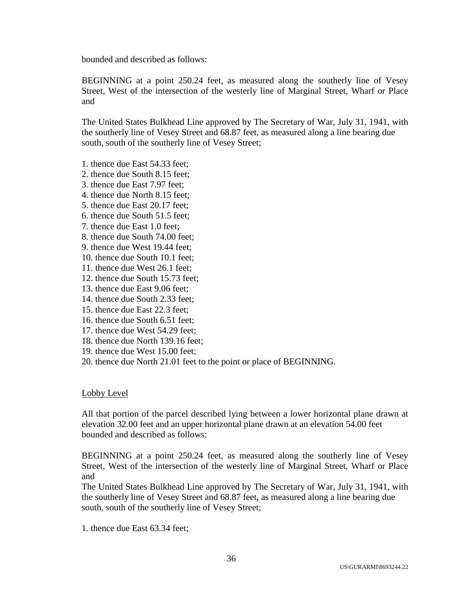bounded and described as follows:

BEGINNING at a point 250.24 feet, as measured along the southerly line of Vesey Street, West of the intersection of the westerly line of Marginal Street, Wharf or Place and

The United States Bulkhead Line approved by The Secretary of War, July 31, 1941, with the southerly line of Vesey Street and 68.87 feet, as measured along a line bearing due south, south of the southerly line of Vesey Street;

- 1. thence due East 54.33 feet;
- 2. thence due South 8.15 feet;
- 3. thence due East 7.97 feet;
- 4. thence due North 8.15 feet;
- 5. thence due East 20.17 feet;
- 6. thence due South 51.5 feet;
- 7. thence due East 1.0 feet;
- 8. thence due South 74.00 feet;
- 9. thence due West 19.44 feet;
- 10. thence due South 10.1 feet;
- 11. thence due West 26.1 feet;
- 12. thence due South 15.73 feet;
- 13. thence due East 9.06 feet;
- 14. thence due South 2.33 feet;
- 15. thence due East 22.3 feet;
- 16. thence due South 6.51 feet;
- 17. thence due West 54.29 feet;
- 18. thence due North 139.16 feet;
- 19. thence due West 15.00 feet;
- 20. thence due North 21.01 feet to the point or place of BEGINNING.

#### Lobby Level

All that portion of the parcel described lying between a lower horizontal plane drawn at elevation 32.00 feet and an upper horizontal plane drawn at an elevation 54.00 feet bounded and described as follows:

BEGINNING at a point 250.24 feet, as measured along the southerly line of Vesey Street, West of the intersection of the westerly line of Marginal Street, Wharf or Place and

The United States Bulkhead Line approved by The Secretary of War, July 31, 1941, with the southerly line of Vesey Street and 68.87 feet, as measured along a line bearing due south, south of the southerly line of Vesey Street;

1. thence due East 63.34 feet;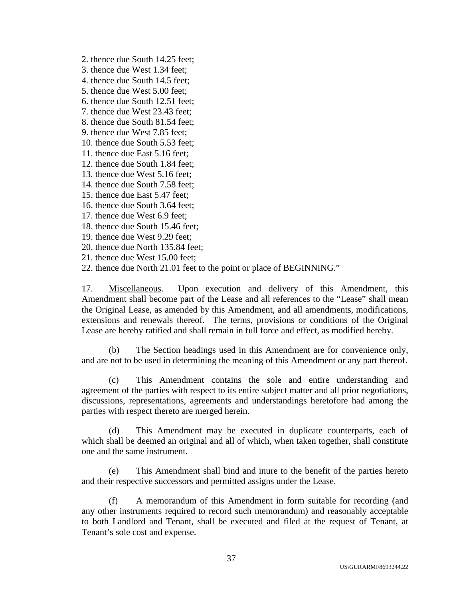- 2. thence due South 14.25 feet;
- 3. thence due West 1.34 feet;
- 4. thence due South 14.5 feet;
- 5. thence due West 5.00 feet;
- 6. thence due South 12.51 feet;
- 7. thence due West 23.43 feet;
- 8. thence due South 81.54 feet;
- 9. thence due West 7.85 feet;
- 10. thence due South 5.53 feet;
- 11. thence due East 5.16 feet;
- 12. thence due South 1.84 feet;
- 13. thence due West 5.16 feet;
- 14. thence due South 7.58 feet;
- 15. thence due East 5.47 feet;
- 16. thence due South 3.64 feet;
- 17. thence due West 6.9 feet;
- 18. thence due South 15.46 feet;
- 19. thence due West 9.29 feet;
- 20. thence due North 135.84 feet;
- 21. thence due West 15.00 feet;
- 22. thence due North 21.01 feet to the point or place of BEGINNING."

17. Miscellaneous. Upon execution and delivery of this Amendment, this Amendment shall become part of the Lease and all references to the "Lease" shall mean the Original Lease, as amended by this Amendment, and all amendments, modifications, extensions and renewals thereof. The terms, provisions or conditions of the Original Lease are hereby ratified and shall remain in full force and effect, as modified hereby.

(b) The Section headings used in this Amendment are for convenience only, and are not to be used in determining the meaning of this Amendment or any part thereof.

(c) This Amendment contains the sole and entire understanding and agreement of the parties with respect to its entire subject matter and all prior negotiations, discussions, representations, agreements and understandings heretofore had among the parties with respect thereto are merged herein.

(d) This Amendment may be executed in duplicate counterparts, each of which shall be deemed an original and all of which, when taken together, shall constitute one and the same instrument.

(e) This Amendment shall bind and inure to the benefit of the parties hereto and their respective successors and permitted assigns under the Lease.

(f) A memorandum of this Amendment in form suitable for recording (and any other instruments required to record such memorandum) and reasonably acceptable to both Landlord and Tenant, shall be executed and filed at the request of Tenant, at Tenant's sole cost and expense.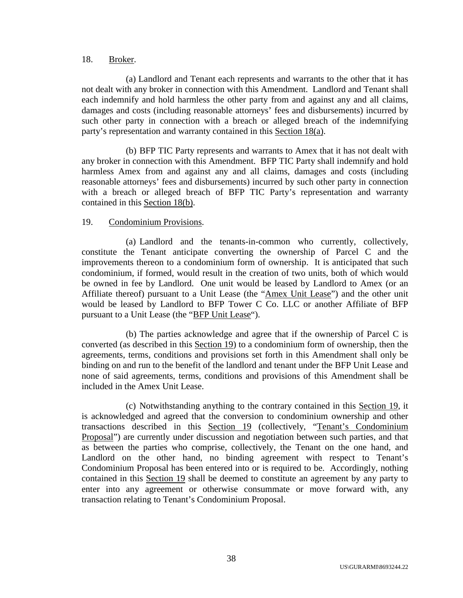# 18. Broker.

(a) Landlord and Tenant each represents and warrants to the other that it has not dealt with any broker in connection with this Amendment. Landlord and Tenant shall each indemnify and hold harmless the other party from and against any and all claims, damages and costs (including reasonable attorneys' fees and disbursements) incurred by such other party in connection with a breach or alleged breach of the indemnifying party's representation and warranty contained in this Section 18(a).

(b) BFP TIC Party represents and warrants to Amex that it has not dealt with any broker in connection with this Amendment. BFP TIC Party shall indemnify and hold harmless Amex from and against any and all claims, damages and costs (including reasonable attorneys' fees and disbursements) incurred by such other party in connection with a breach or alleged breach of BFP TIC Party's representation and warranty contained in this Section 18(b).

# 19. Condominium Provisions.

(a) Landlord and the tenants-in-common who currently, collectively, constitute the Tenant anticipate converting the ownership of Parcel C and the improvements thereon to a condominium form of ownership. It is anticipated that such condominium, if formed, would result in the creation of two units, both of which would be owned in fee by Landlord. One unit would be leased by Landlord to Amex (or an Affiliate thereof) pursuant to a Unit Lease (the "Amex Unit Lease") and the other unit would be leased by Landlord to BFP Tower C Co. LLC or another Affiliate of BFP pursuant to a Unit Lease (the "BFP Unit Lease").

(b) The parties acknowledge and agree that if the ownership of Parcel C is converted (as described in this Section 19) to a condominium form of ownership, then the agreements, terms, conditions and provisions set forth in this Amendment shall only be binding on and run to the benefit of the landlord and tenant under the BFP Unit Lease and none of said agreements, terms, conditions and provisions of this Amendment shall be included in the Amex Unit Lease.

(c) Notwithstanding anything to the contrary contained in this Section 19, it is acknowledged and agreed that the conversion to condominium ownership and other transactions described in this Section 19 (collectively, "Tenant's Condominium Proposal") are currently under discussion and negotiation between such parties, and that as between the parties who comprise, collectively, the Tenant on the one hand, and Landlord on the other hand, no binding agreement with respect to Tenant's Condominium Proposal has been entered into or is required to be. Accordingly, nothing contained in this Section 19 shall be deemed to constitute an agreement by any party to enter into any agreement or otherwise consummate or move forward with, any transaction relating to Tenant's Condominium Proposal.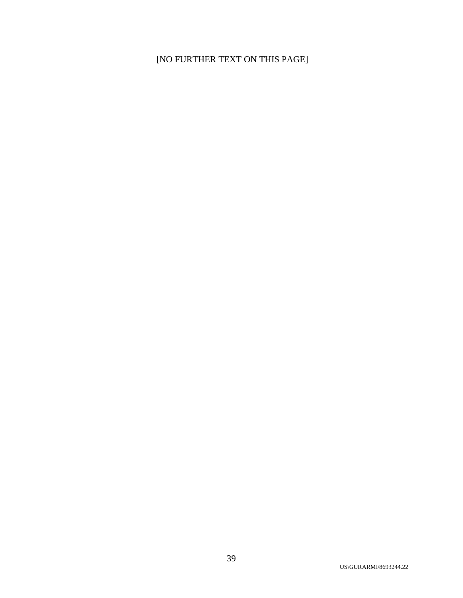# [NO FURTHER TEXT ON THIS PAGE]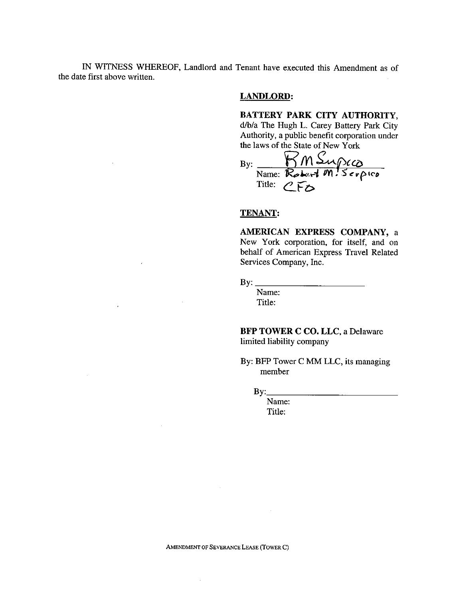IN WITNESS WHEREOF, Landlord and Tenant have executed this Amendment as of the date first above written.

### **LANDLORD:**

**BATTERY PARK CITY AUTHORITY,** d/b/a The Hugh L. Carey **Battery** Park City Authority, a public benefit corporation under **the** laws of **the** State of **New** York

By: \_ *m* \_(\_ name: *Kebeft III, Serpict* Title: CFO

#### **TENANT:**

**AMERICAN EXPRESS** COMPANY, **a** New York corporation, **for** itself, and on behalf **of American** Express **Travel Related Services** Company, **Inc.**

By:  $\mathbf{\underline{B}}$ 

Name: Title:

**BFP** TOWER **C CO. LLC, a** Delaware limited liability company

By: BFP Tower C MM LLC, its managing member

 $By:$ 

Name: Title:

 $\bar{z}$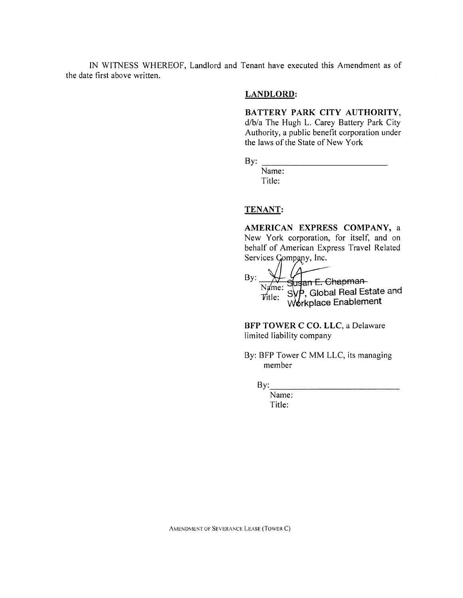IN WITNESS WHEREOF, Landlord and Tenant have executed this Amendment as of the date first above written.

### **LANDLORD:**

BATTERY PARK CITY AUTHORITY, d/b/a The Hugh L. Carey Battery Park City Authority, a public benefit corporation under the laws of the State of New York

By:

Name: Title:

#### TENANT:

AMERICAN EXPRESS COMPANY, a New York corporation, for itself, and on behalf of American Express Travel Related Services Gompany, Inc.

 $\Lambda$ Name: Susan E. Chapman-<br>Name: SVP, Global Real Estate and<br>Title: Workplace Enablement By:

BFP TOWER C CO. LLC, a Delaware limited liability company

By: BFP Tower C MM LLC, its managing member

 $By:$ 

Name: Title:

AMENDMENT OF SEVERANCE LEASE (TOWER C)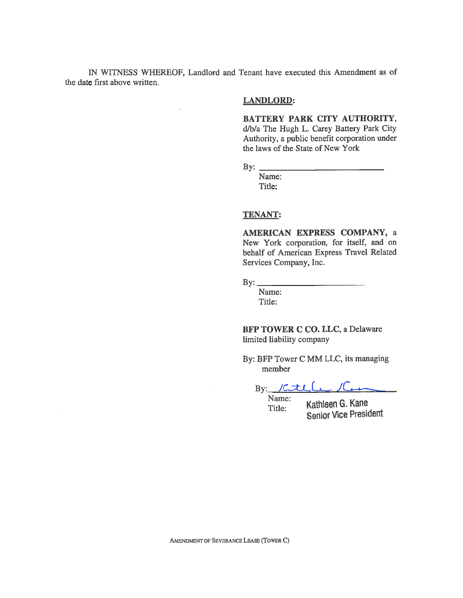IN WITNESS WHEREOF, Landlord and Tenant have executed this Amendment as of the date first above written.

## **LANDLORD:**

BATTERY PARK CITY AUTHORITY, d/b/a The Hugh L. Carey Battery Park City Authority, a public benefit corporation under the laws of the State of New York

By:  $\overline{.}$ 

Name: Title:

#### **TENANT:**

AMERICAN EXPRESS COMPANY, a New York corporation, for itself, and on behalf of American Express Travel Related Services Company, Inc.

By:  $\overline{\phantom{a}}$ 

Name: Title:

BFP TOWER C CO. LLC, a Delaware limited liability company

By: BFP Tower C MM LLC, its managing member

By:  $Kt\sim 1$ 

Name: Title:

Kathleen G. Kane **Senior Vice President**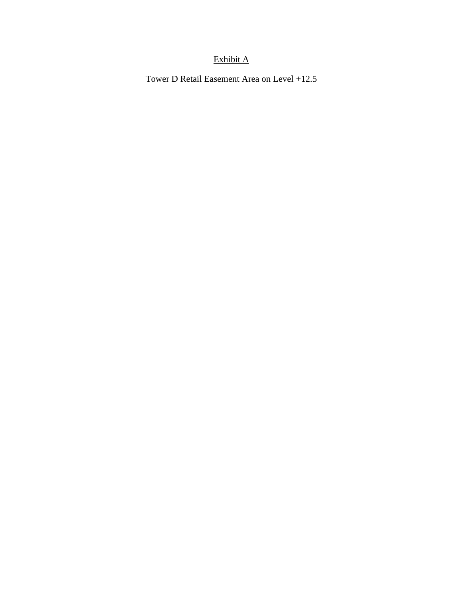# Exhibit A

Tower D Retail Easement Area on Level +12.5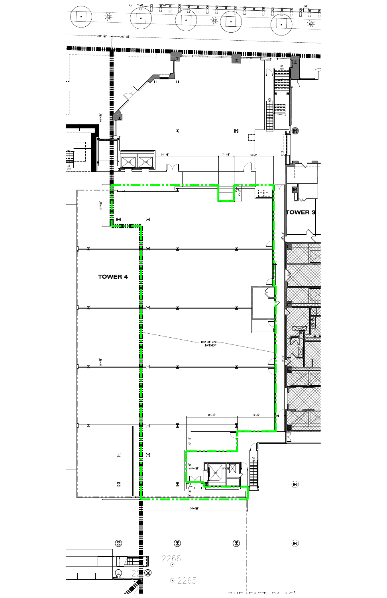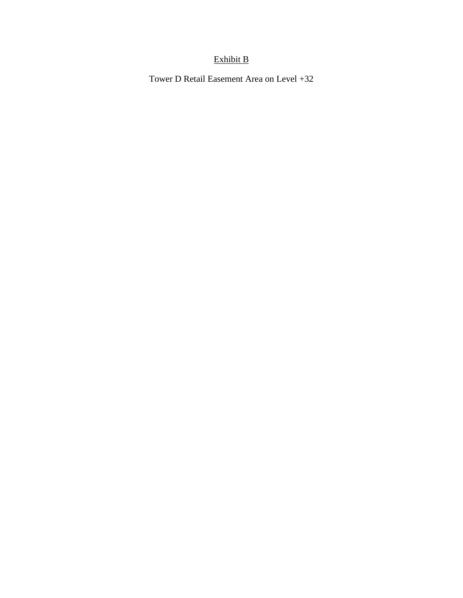# Exhibit B

Tower D Retail Easement Area on Level +32